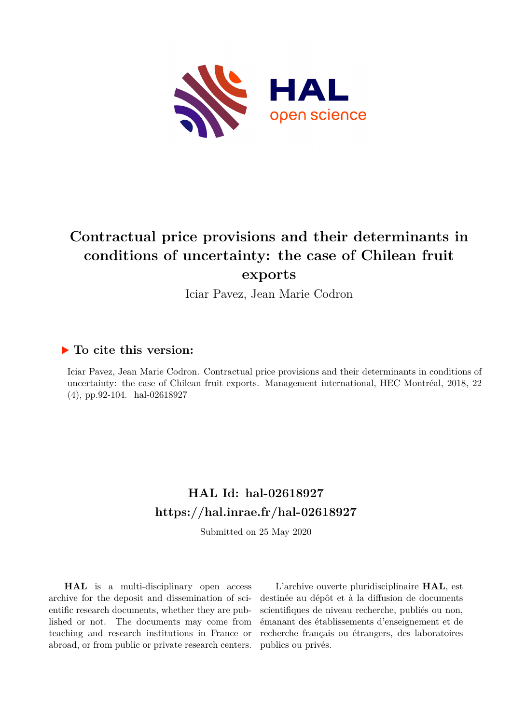

# **Contractual price provisions and their determinants in conditions of uncertainty: the case of Chilean fruit exports**

Iciar Pavez, Jean Marie Codron

# **To cite this version:**

Iciar Pavez, Jean Marie Codron. Contractual price provisions and their determinants in conditions of uncertainty: the case of Chilean fruit exports. Management international, HEC Montréal, 2018, 22  $(4)$ , pp.92-104. hal-02618927

# **HAL Id: hal-02618927 <https://hal.inrae.fr/hal-02618927>**

Submitted on 25 May 2020

**HAL** is a multi-disciplinary open access archive for the deposit and dissemination of scientific research documents, whether they are published or not. The documents may come from teaching and research institutions in France or abroad, or from public or private research centers.

L'archive ouverte pluridisciplinaire **HAL**, est destinée au dépôt et à la diffusion de documents scientifiques de niveau recherche, publiés ou non, émanant des établissements d'enseignement et de recherche français ou étrangers, des laboratoires publics ou privés.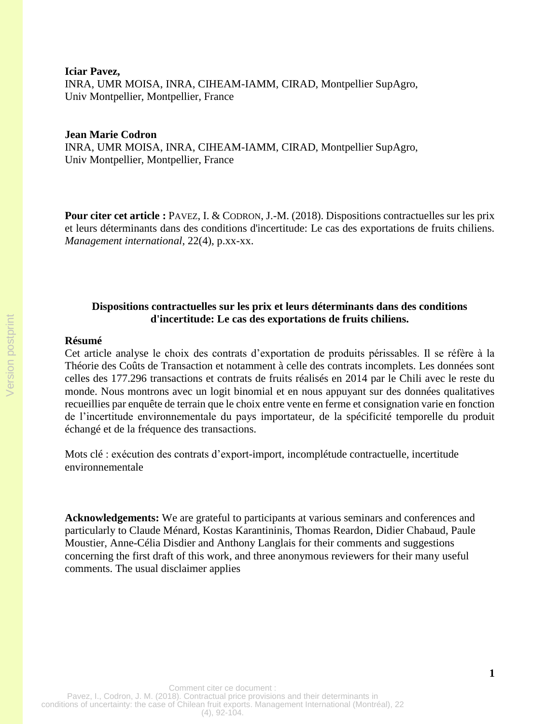**Iciar Pavez,**  INRA, UMR MOISA, INRA, CIHEAM-IAMM, CIRAD, Montpellier SupAgro, Univ Montpellier, Montpellier, France

#### **Jean Marie Codron**

INRA, UMR MOISA, INRA, CIHEAM-IAMM, CIRAD, Montpellier SupAgro, Univ Montpellier, Montpellier, France

**Pour citer cet article :** PAVEZ, I. & CODRON, J.-M. (2018). Dispositions contractuelles sur les prix et leurs déterminants dans des conditions d'incertitude: Le cas des exportations de fruits chiliens. *Management international*, 22(4), p.xx-xx.

# **Dispositions contractuelles sur les prix et leurs déterminants dans des conditions d'incertitude: Le cas des exportations de fruits chiliens.**

#### **Résumé**

Cet article analyse le choix des contrats d'exportation de produits périssables. Il se réfère à la Théorie des Coûts de Transaction et notamment à celle des contrats incomplets. Les données sont celles des 177.296 transactions et contrats de fruits réalisés en 2014 par le Chili avec le reste du monde. Nous montrons avec un logit binomial et en nous appuyant sur des données qualitatives recueillies par enquête de terrain que le choix entre vente en ferme et consignation varie en fonction de l'incertitude environnementale du pays importateur, de la spécificité temporelle du produit échangé et de la fréquence des transactions.

Mots clé : exécution des contrats d'export-import, incomplétude contractuelle, incertitude environnementale

**Acknowledgements:** We are grateful to participants at various seminars and conferences and particularly to Claude Ménard, Kostas Karantininis, Thomas Reardon, Didier Chabaud, Paule Moustier, Anne-Célia Disdier and Anthony Langlais for their comments and suggestions concerning the first draft of this work, and three anonymous reviewers for their many useful comments. The usual disclaimer applies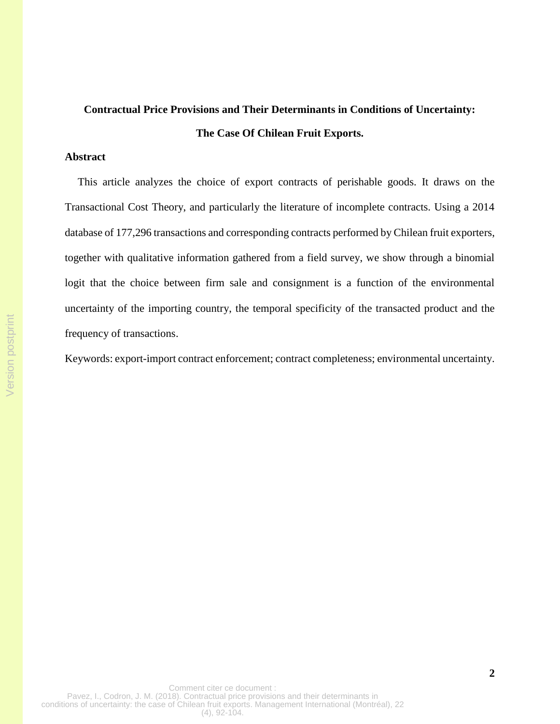# **Contractual Price Provisions and Their Determinants in Conditions of Uncertainty: The Case Of Chilean Fruit Exports.**

### **Abstract**

This article analyzes the choice of export contracts of perishable goods. It draws on the Transactional Cost Theory, and particularly the literature of incomplete contracts. Using a 2014 database of 177,296 transactions and corresponding contracts performed by Chilean fruit exporters, together with qualitative information gathered from a field survey, we show through a binomial logit that the choice between firm sale and consignment is a function of the environmental uncertainty of the importing country, the temporal specificity of the transacted product and the frequency of transactions.

Keywords: export-import contract enforcement; contract completeness; environmental uncertainty.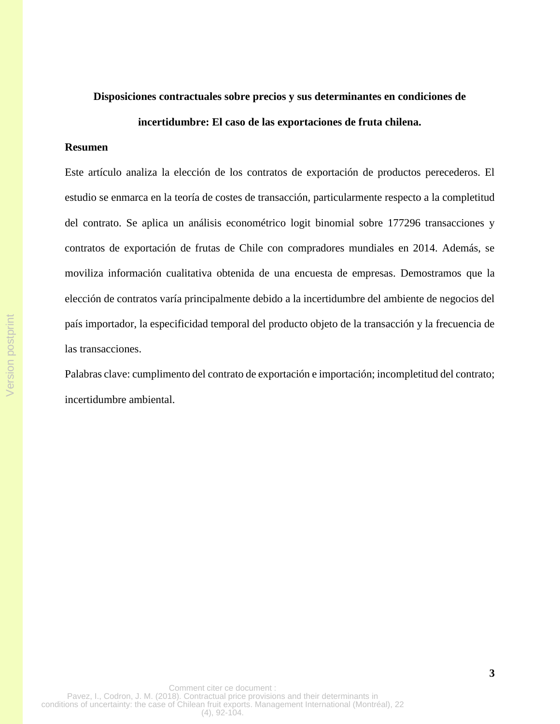# **Disposiciones contractuales sobre precios y sus determinantes en condiciones de**

## **incertidumbre: El caso de las exportaciones de fruta chilena.**

## **Resumen**

Este artículo analiza la elección de los contratos de exportación de productos perecederos. El estudio se enmarca en la teoría de costes de transacción, particularmente respecto a la completitud del contrato. Se aplica un análisis econométrico logit binomial sobre 177296 transacciones y contratos de exportación de frutas de Chile con compradores mundiales en 2014. Además, se moviliza información cualitativa obtenida de una encuesta de empresas. Demostramos que la elección de contratos varía principalmente debido a la incertidumbre del ambiente de negocios del país importador, la especificidad temporal del producto objeto de la transacción y la frecuencia de las transacciones.

Palabras clave: cumplimento del contrato de exportación e importación; incompletitud del contrato; incertidumbre ambiental.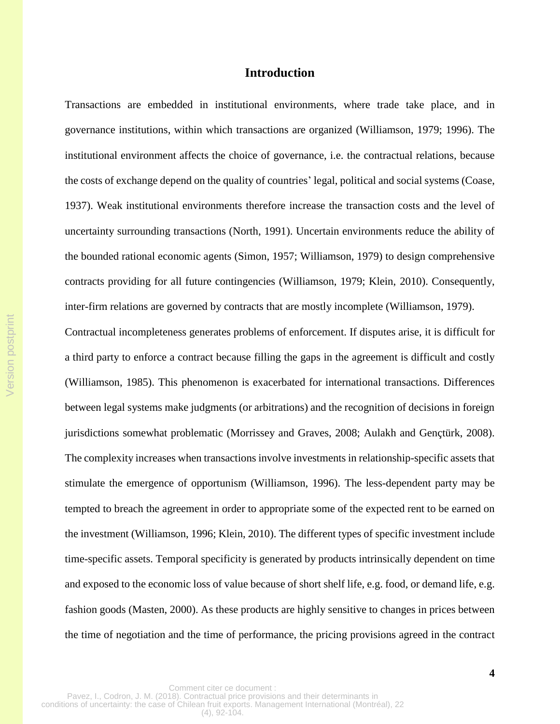# **Introduction**

Transactions are embedded in institutional environments, where trade take place, and in governance institutions, within which transactions are organized (Williamson, 1979; 1996). The institutional environment affects the choice of governance, i.e. the contractual relations, because the costs of exchange depend on the quality of countries' legal, political and social systems (Coase, 1937). Weak institutional environments therefore increase the transaction costs and the level of uncertainty surrounding transactions (North, 1991). Uncertain environments reduce the ability of the bounded rational economic agents (Simon, 1957; Williamson, 1979) to design comprehensive contracts providing for all future contingencies (Williamson, 1979; Klein, 2010). Consequently, inter-firm relations are governed by contracts that are mostly incomplete (Williamson, 1979).

Contractual incompleteness generates problems of enforcement. If disputes arise, it is difficult for a third party to enforce a contract because filling the gaps in the agreement is difficult and costly (Williamson, 1985). This phenomenon is exacerbated for international transactions. Differences between legal systems make judgments (or arbitrations) and the recognition of decisions in foreign jurisdictions somewhat problematic (Morrissey and Graves, 2008; Aulakh and Gençtürk, 2008). The complexity increases when transactions involve investments in relationship-specific assets that stimulate the emergence of opportunism (Williamson, 1996). The less-dependent party may be tempted to breach the agreement in order to appropriate some of the expected rent to be earned on the investment (Williamson, 1996; Klein, 2010). The different types of specific investment include time-specific assets. Temporal specificity is generated by products intrinsically dependent on time and exposed to the economic loss of value because of short shelf life, e.g. food, or demand life, e.g. fashion goods (Masten, 2000). As these products are highly sensitive to changes in prices between the time of negotiation and the time of performance, the pricing provisions agreed in the contract

Version postprint

Version postprint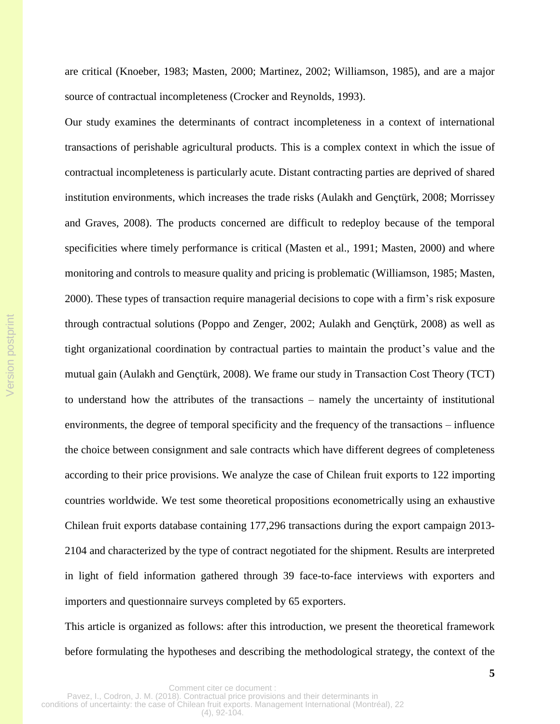are critical (Knoeber, 1983; Masten, 2000; Martinez, 2002; Williamson, 1985), and are a major source of contractual incompleteness (Crocker and Reynolds, 1993).

Our study examines the determinants of contract incompleteness in a context of international transactions of perishable agricultural products. This is a complex context in which the issue of contractual incompleteness is particularly acute. Distant contracting parties are deprived of shared institution environments, which increases the trade risks (Aulakh and Gençtürk, 2008; Morrissey and Graves, 2008). The products concerned are difficult to redeploy because of the temporal specificities where timely performance is critical (Masten et al., 1991; Masten, 2000) and where monitoring and controls to measure quality and pricing is problematic (Williamson, 1985; Masten, 2000). These types of transaction require managerial decisions to cope with a firm's risk exposure through contractual solutions (Poppo and Zenger, 2002; Aulakh and Gençtürk, 2008) as well as tight organizational coordination by contractual parties to maintain the product's value and the mutual gain (Aulakh and Gençtürk, 2008). We frame our study in Transaction Cost Theory (TCT) to understand how the attributes of the transactions – namely the uncertainty of institutional environments, the degree of temporal specificity and the frequency of the transactions – influence the choice between consignment and sale contracts which have different degrees of completeness according to their price provisions. We analyze the case of Chilean fruit exports to 122 importing countries worldwide. We test some theoretical propositions econometrically using an exhaustive Chilean fruit exports database containing 177,296 transactions during the export campaign 2013- 2104 and characterized by the type of contract negotiated for the shipment. Results are interpreted in light of field information gathered through 39 face-to-face interviews with exporters and importers and questionnaire surveys completed by 65 exporters.

This article is organized as follows: after this introduction, we present the theoretical framework before formulating the hypotheses and describing the methodological strategy, the context of the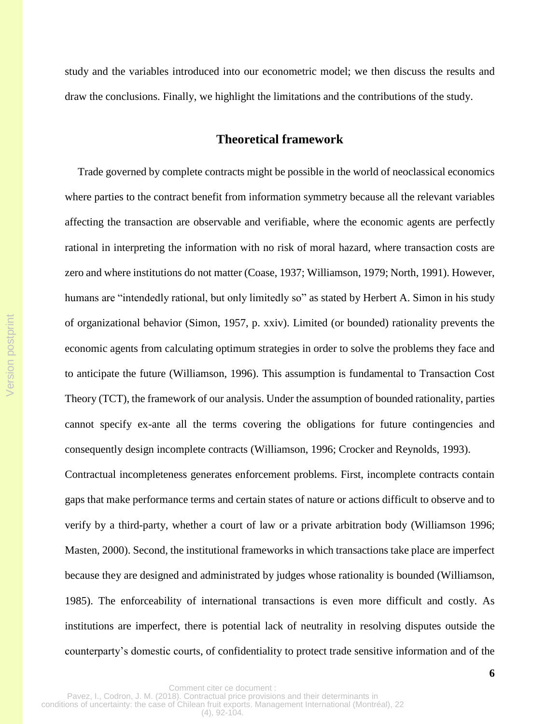study and the variables introduced into our econometric model; we then discuss the results and draw the conclusions. Finally, we highlight the limitations and the contributions of the study.

# **Theoretical framework**

Trade governed by complete contracts might be possible in the world of neoclassical economics where parties to the contract benefit from information symmetry because all the relevant variables affecting the transaction are observable and verifiable, where the economic agents are perfectly rational in interpreting the information with no risk of moral hazard, where transaction costs are zero and where institutions do not matter (Coase, 1937; Williamson, 1979; North, 1991). However, humans are "intendedly rational, but only limitedly so" as stated by Herbert A. Simon in his study of organizational behavior (Simon, 1957, p. xxiv). Limited (or bounded) rationality prevents the economic agents from calculating optimum strategies in order to solve the problems they face and to anticipate the future (Williamson, 1996). This assumption is fundamental to Transaction Cost Theory (TCT), the framework of our analysis. Under the assumption of bounded rationality, parties cannot specify ex-ante all the terms covering the obligations for future contingencies and consequently design incomplete contracts (Williamson, 1996; Crocker and Reynolds, 1993).

Version postprint

Version postprint

Contractual incompleteness generates enforcement problems. First, incomplete contracts contain gaps that make performance terms and certain states of nature or actions difficult to observe and to verify by a third-party, whether a court of law or a private arbitration body (Williamson 1996; Masten, 2000). Second, the institutional frameworks in which transactions take place are imperfect because they are designed and administrated by judges whose rationality is bounded (Williamson, 1985). The enforceability of international transactions is even more difficult and costly. As institutions are imperfect, there is potential lack of neutrality in resolving disputes outside the counterparty's domestic courts, of confidentiality to protect trade sensitive information and of the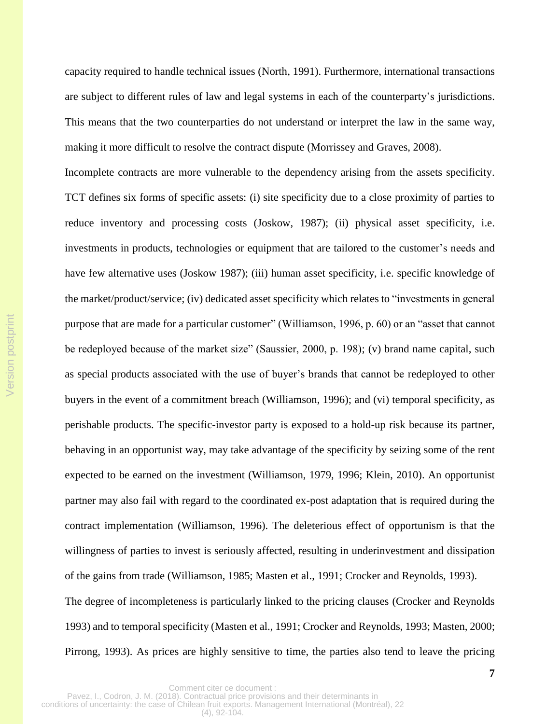capacity required to handle technical issues (North, 1991). Furthermore, international transactions are subject to different rules of law and legal systems in each of the counterparty's jurisdictions. This means that the two counterparties do not understand or interpret the law in the same way, making it more difficult to resolve the contract dispute (Morrissey and Graves, 2008).

Incomplete contracts are more vulnerable to the dependency arising from the assets specificity. TCT defines six forms of specific assets: (i) site specificity due to a close proximity of parties to reduce inventory and processing costs (Joskow, 1987); (ii) physical asset specificity, i.e. investments in products, technologies or equipment that are tailored to the customer's needs and have few alternative uses (Joskow 1987); (iii) human asset specificity, i.e. specific knowledge of the market/product/service; (iv) dedicated asset specificity which relates to "investments in general purpose that are made for a particular customer" (Williamson, 1996, p. 60) or an "asset that cannot be redeployed because of the market size" (Saussier, 2000, p. 198); (v) brand name capital, such as special products associated with the use of buyer's brands that cannot be redeployed to other buyers in the event of a commitment breach (Williamson, 1996); and (vi) temporal specificity, as perishable products. The specific-investor party is exposed to a hold-up risk because its partner, behaving in an opportunist way, may take advantage of the specificity by seizing some of the rent expected to be earned on the investment (Williamson, 1979, 1996; Klein, 2010). An opportunist partner may also fail with regard to the coordinated ex-post adaptation that is required during the contract implementation (Williamson, 1996). The deleterious effect of opportunism is that the willingness of parties to invest is seriously affected, resulting in underinvestment and dissipation of the gains from trade (Williamson, 1985; Masten et al., 1991; Crocker and Reynolds, 1993). The degree of incompleteness is particularly linked to the pricing clauses (Crocker and Reynolds 1993) and to temporal specificity (Masten et al., 1991; Crocker and Reynolds, 1993; Masten, 2000; Pirrong, 1993). As prices are highly sensitive to time, the parties also tend to leave the pricing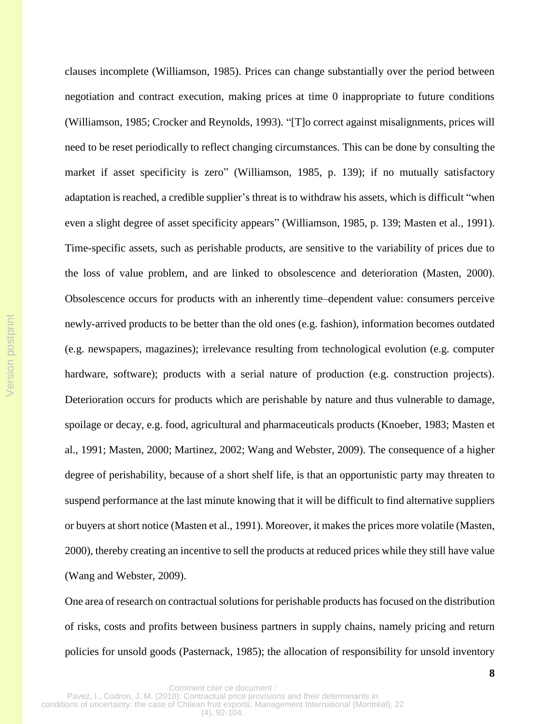clauses incomplete (Williamson, 1985). Prices can change substantially over the period between negotiation and contract execution, making prices at time 0 inappropriate to future conditions (Williamson, 1985; Crocker and Reynolds, 1993). "[T]o correct against misalignments, prices will need to be reset periodically to reflect changing circumstances. This can be done by consulting the market if asset specificity is zero" (Williamson, 1985, p. 139); if no mutually satisfactory adaptation is reached, a credible supplier's threat is to withdraw his assets, which is difficult "when even a slight degree of asset specificity appears" (Williamson, 1985, p. 139; Masten et al., 1991). Time-specific assets, such as perishable products, are sensitive to the variability of prices due to the loss of value problem, and are linked to obsolescence and deterioration (Masten, 2000). Obsolescence occurs for products with an inherently time–dependent value: consumers perceive newly-arrived products to be better than the old ones (e.g. fashion), information becomes outdated (e.g. newspapers, magazines); irrelevance resulting from technological evolution (e.g. computer hardware, software); products with a serial nature of production (e.g. construction projects). Deterioration occurs for products which are perishable by nature and thus vulnerable to damage, spoilage or decay, e.g. food, agricultural and pharmaceuticals products (Knoeber, 1983; Masten et al., 1991; Masten, 2000; Martinez, 2002; Wang and Webster, 2009). The consequence of a higher degree of perishability, because of a short shelf life, is that an opportunistic party may threaten to suspend performance at the last minute knowing that it will be difficult to find alternative suppliers or buyers at short notice (Masten et al., 1991). Moreover, it makes the prices more volatile (Masten, 2000), thereby creating an incentive to sell the products at reduced prices while they still have value (Wang and Webster, 2009).

One area of research on contractual solutions for perishable products has focused on the distribution of risks, costs and profits between business partners in supply chains, namely pricing and return policies for unsold goods (Pasternack, 1985); the allocation of responsibility for unsold inventory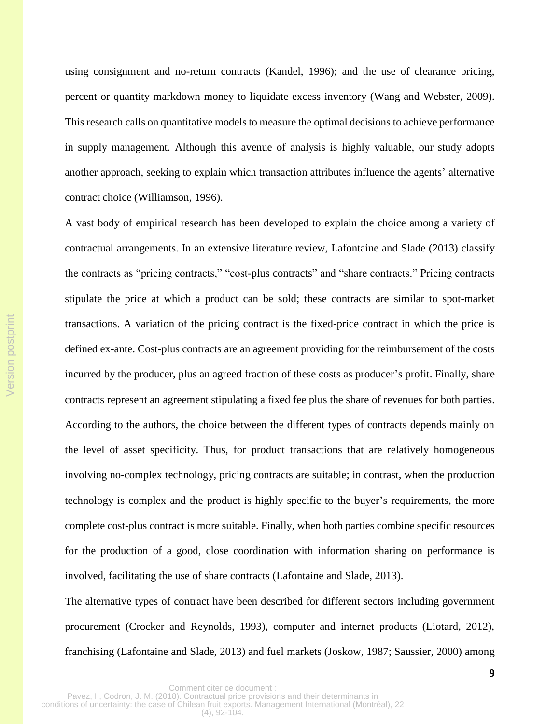using consignment and no-return contracts (Kandel, 1996); and the use of clearance pricing, percent or quantity markdown money to liquidate excess inventory (Wang and Webster, 2009). This research calls on quantitative models to measure the optimal decisions to achieve performance in supply management. Although this avenue of analysis is highly valuable, our study adopts another approach, seeking to explain which transaction attributes influence the agents' alternative contract choice (Williamson, 1996).

A vast body of empirical research has been developed to explain the choice among a variety of contractual arrangements. In an extensive literature review, Lafontaine and Slade (2013) classify the contracts as "pricing contracts," "cost-plus contracts" and "share contracts." Pricing contracts stipulate the price at which a product can be sold; these contracts are similar to spot-market transactions. A variation of the pricing contract is the fixed-price contract in which the price is defined ex-ante. Cost-plus contracts are an agreement providing for the reimbursement of the costs incurred by the producer, plus an agreed fraction of these costs as producer's profit. Finally, share contracts represent an agreement stipulating a fixed fee plus the share of revenues for both parties. According to the authors, the choice between the different types of contracts depends mainly on the level of asset specificity. Thus, for product transactions that are relatively homogeneous involving no-complex technology, pricing contracts are suitable; in contrast, when the production technology is complex and the product is highly specific to the buyer's requirements, the more complete cost-plus contract is more suitable. Finally, when both parties combine specific resources for the production of a good, close coordination with information sharing on performance is involved, facilitating the use of share contracts (Lafontaine and Slade, 2013).

The alternative types of contract have been described for different sectors including government procurement (Crocker and Reynolds, 1993), computer and internet products (Liotard, 2012), franchising (Lafontaine and Slade, 2013) and fuel markets (Joskow, 1987; Saussier, 2000) among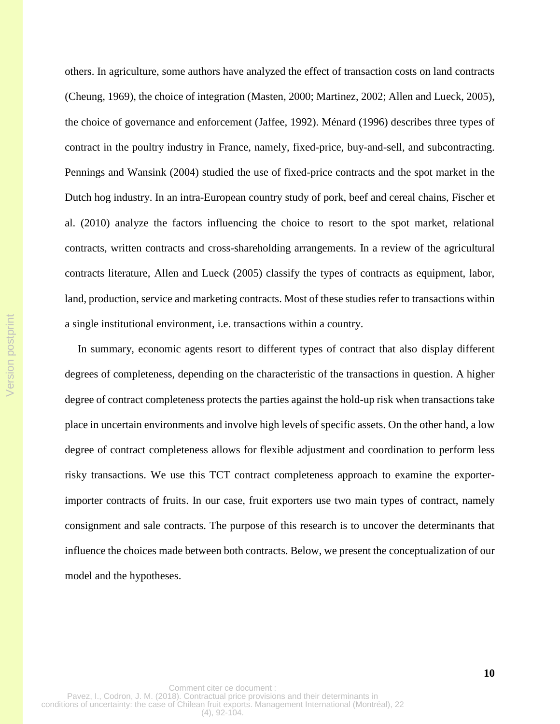others. In agriculture, some authors have analyzed the effect of transaction costs on land contracts (Cheung, 1969), the choice of integration (Masten, 2000; Martinez, 2002; Allen and Lueck, 2005), the choice of governance and enforcement (Jaffee, 1992). Ménard (1996) describes three types of contract in the poultry industry in France, namely, fixed-price, buy-and-sell, and subcontracting. Pennings and Wansink (2004) studied the use of fixed-price contracts and the spot market in the Dutch hog industry. In an intra-European country study of pork, beef and cereal chains, Fischer et al. (2010) analyze the factors influencing the choice to resort to the spot market, relational contracts, written contracts and cross-shareholding arrangements. In a review of the agricultural contracts literature, Allen and Lueck (2005) classify the types of contracts as equipment, labor, land, production, service and marketing contracts. Most of these studies refer to transactions within a single institutional environment, i.e. transactions within a country.

In summary, economic agents resort to different types of contract that also display different degrees of completeness, depending on the characteristic of the transactions in question. A higher degree of contract completeness protects the parties against the hold-up risk when transactions take place in uncertain environments and involve high levels of specific assets. On the other hand, a low degree of contract completeness allows for flexible adjustment and coordination to perform less risky transactions. We use this TCT contract completeness approach to examine the exporterimporter contracts of fruits. In our case, fruit exporters use two main types of contract, namely consignment and sale contracts. The purpose of this research is to uncover the determinants that influence the choices made between both contracts. Below, we present the conceptualization of our model and the hypotheses.

Version postprint

Version postprint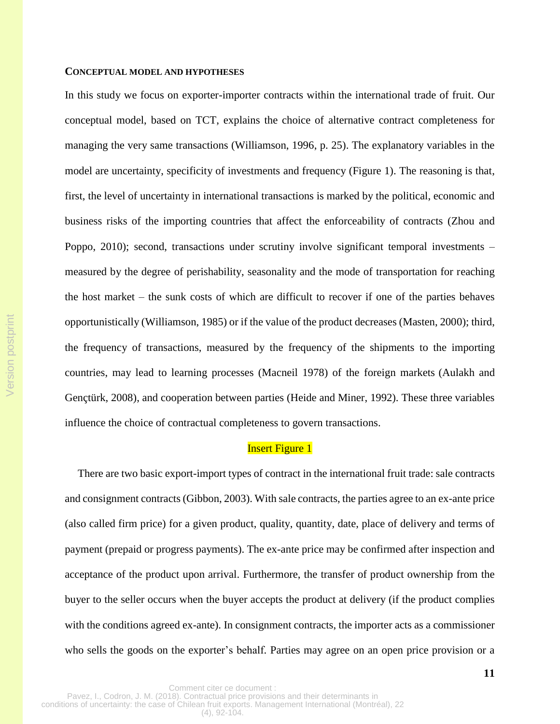#### **CONCEPTUAL MODEL AND HYPOTHESES**

In this study we focus on exporter-importer contracts within the international trade of fruit. Our conceptual model, based on TCT, explains the choice of alternative contract completeness for managing the very same transactions (Williamson, 1996, p. 25). The explanatory variables in the model are uncertainty, specificity of investments and frequency (Figure 1). The reasoning is that, first, the level of uncertainty in international transactions is marked by the political, economic and business risks of the importing countries that affect the enforceability of contracts (Zhou and Poppo, 2010); second, transactions under scrutiny involve significant temporal investments – measured by the degree of perishability, seasonality and the mode of transportation for reaching the host market – the sunk costs of which are difficult to recover if one of the parties behaves opportunistically (Williamson, 1985) or if the value of the product decreases (Masten, 2000); third, the frequency of transactions, measured by the frequency of the shipments to the importing countries, may lead to learning processes (Macneil 1978) of the foreign markets (Aulakh and Gençtürk, 2008), and cooperation between parties (Heide and Miner, 1992). These three variables influence the choice of contractual completeness to govern transactions.

#### **Insert Figure 1**

There are two basic export-import types of contract in the international fruit trade: sale contracts and consignment contracts(Gibbon, 2003). With sale contracts, the parties agree to an ex-ante price (also called firm price) for a given product, quality, quantity, date, place of delivery and terms of payment (prepaid or progress payments). The ex-ante price may be confirmed after inspection and acceptance of the product upon arrival. Furthermore, the transfer of product ownership from the buyer to the seller occurs when the buyer accepts the product at delivery (if the product complies with the conditions agreed ex-ante). In consignment contracts, the importer acts as a commissioner who sells the goods on the exporter's behalf. Parties may agree on an open price provision or a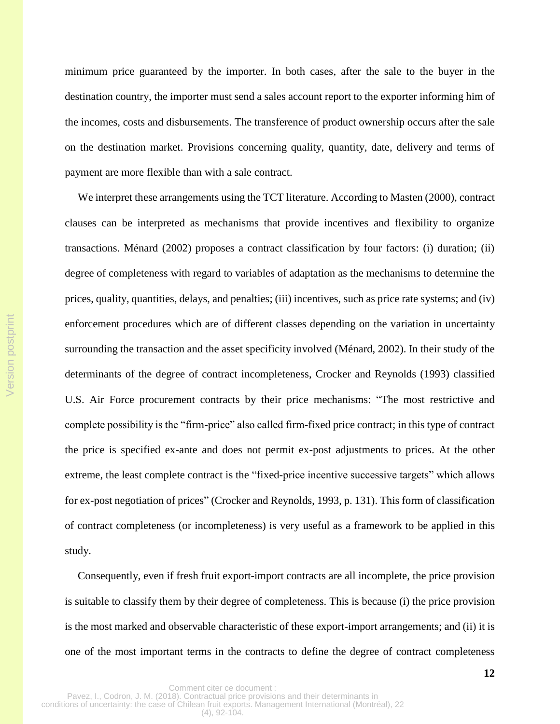minimum price guaranteed by the importer. In both cases, after the sale to the buyer in the destination country, the importer must send a sales account report to the exporter informing him of the incomes, costs and disbursements. The transference of product ownership occurs after the sale on the destination market. Provisions concerning quality, quantity, date, delivery and terms of payment are more flexible than with a sale contract.

We interpret these arrangements using the TCT literature. According to Masten (2000), contract clauses can be interpreted as mechanisms that provide incentives and flexibility to organize transactions. Ménard (2002) proposes a contract classification by four factors: (i) duration; (ii) degree of completeness with regard to variables of adaptation as the mechanisms to determine the prices, quality, quantities, delays, and penalties; (iii) incentives, such as price rate systems; and (iv) enforcement procedures which are of different classes depending on the variation in uncertainty surrounding the transaction and the asset specificity involved (Ménard, 2002). In their study of the determinants of the degree of contract incompleteness, Crocker and Reynolds (1993) classified U.S. Air Force procurement contracts by their price mechanisms: "The most restrictive and complete possibility is the "firm-price" also called firm-fixed price contract; in this type of contract the price is specified ex-ante and does not permit ex-post adjustments to prices. At the other extreme, the least complete contract is the "fixed-price incentive successive targets" which allows for ex-post negotiation of prices" (Crocker and Reynolds, 1993, p. 131). This form of classification of contract completeness (or incompleteness) is very useful as a framework to be applied in this study.

Consequently, even if fresh fruit export-import contracts are all incomplete, the price provision is suitable to classify them by their degree of completeness. This is because (i) the price provision is the most marked and observable characteristic of these export-import arrangements; and (ii) it is one of the most important terms in the contracts to define the degree of contract completeness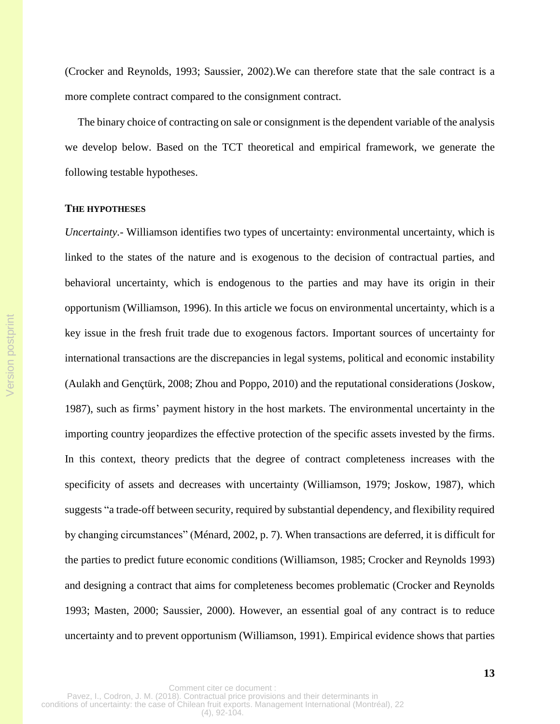(Crocker and Reynolds, 1993; Saussier, 2002).We can therefore state that the sale contract is a more complete contract compared to the consignment contract.

The binary choice of contracting on sale or consignment is the dependent variable of the analysis we develop below. Based on the TCT theoretical and empirical framework, we generate the following testable hypotheses.

#### **THE HYPOTHESES**

*Uncertainty.-* Williamson identifies two types of uncertainty: environmental uncertainty, which is linked to the states of the nature and is exogenous to the decision of contractual parties, and behavioral uncertainty, which is endogenous to the parties and may have its origin in their opportunism (Williamson, 1996). In this article we focus on environmental uncertainty, which is a key issue in the fresh fruit trade due to exogenous factors. Important sources of uncertainty for international transactions are the discrepancies in legal systems, political and economic instability (Aulakh and Gençtürk, 2008; Zhou and Poppo, 2010) and the reputational considerations (Joskow, 1987), such as firms' payment history in the host markets. The environmental uncertainty in the importing country jeopardizes the effective protection of the specific assets invested by the firms. In this context, theory predicts that the degree of contract completeness increases with the specificity of assets and decreases with uncertainty (Williamson, 1979; Joskow, 1987), which suggests "a trade-off between security, required by substantial dependency, and flexibility required by changing circumstances" (Ménard, 2002, p. 7). When transactions are deferred, it is difficult for the parties to predict future economic conditions (Williamson, 1985; Crocker and Reynolds 1993) and designing a contract that aims for completeness becomes problematic (Crocker and Reynolds 1993; Masten, 2000; Saussier, 2000). However, an essential goal of any contract is to reduce uncertainty and to prevent opportunism (Williamson, 1991). Empirical evidence shows that parties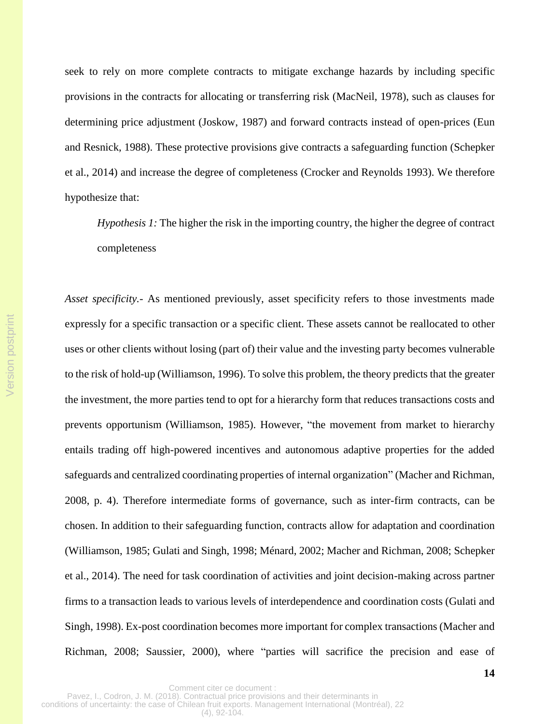seek to rely on more complete contracts to mitigate exchange hazards by including specific provisions in the contracts for allocating or transferring risk (MacNeil, 1978), such as clauses for determining price adjustment (Joskow, 1987) and forward contracts instead of open-prices (Eun and Resnick, 1988). These protective provisions give contracts a safeguarding function (Schepker et al., 2014) and increase the degree of completeness (Crocker and Reynolds 1993). We therefore hypothesize that:

*Hypothesis 1:* The higher the risk in the importing country, the higher the degree of contract completeness

*Asset specificity.-* As mentioned previously, asset specificity refers to those investments made expressly for a specific transaction or a specific client. These assets cannot be reallocated to other uses or other clients without losing (part of) their value and the investing party becomes vulnerable to the risk of hold-up (Williamson, 1996). To solve this problem, the theory predicts that the greater the investment, the more parties tend to opt for a hierarchy form that reduces transactions costs and prevents opportunism (Williamson, 1985). However, "the movement from market to hierarchy entails trading off high-powered incentives and autonomous adaptive properties for the added safeguards and centralized coordinating properties of internal organization" (Macher and Richman, 2008, p. 4). Therefore intermediate forms of governance, such as inter-firm contracts, can be chosen. In addition to their safeguarding function, contracts allow for adaptation and coordination (Williamson, 1985; Gulati and Singh, 1998; Ménard, 2002; Macher and Richman, 2008; Schepker et al., 2014). The need for task coordination of activities and joint decision-making across partner firms to a transaction leads to various levels of interdependence and coordination costs (Gulati and Singh, 1998). Ex-post coordination becomes more important for complex transactions (Macher and Richman, 2008; Saussier, 2000), where "parties will sacrifice the precision and ease of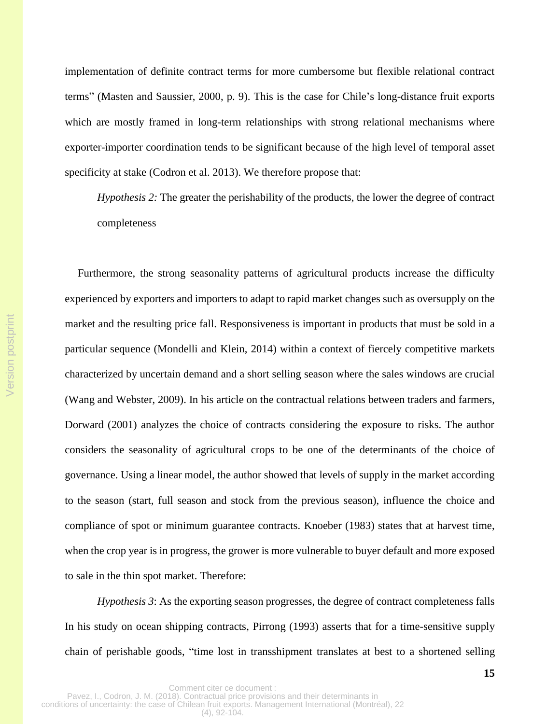implementation of definite contract terms for more cumbersome but flexible relational contract terms" (Masten and Saussier, 2000, p. 9). This is the case for Chile's long-distance fruit exports which are mostly framed in long-term relationships with strong relational mechanisms where exporter-importer coordination tends to be significant because of the high level of temporal asset specificity at stake (Codron et al. 2013). We therefore propose that:

*Hypothesis 2:* The greater the perishability of the products, the lower the degree of contract completeness

Furthermore, the strong seasonality patterns of agricultural products increase the difficulty experienced by exporters and importers to adapt to rapid market changes such as oversupply on the market and the resulting price fall. Responsiveness is important in products that must be sold in a particular sequence (Mondelli and Klein, 2014) within a context of fiercely competitive markets characterized by uncertain demand and a short selling season where the sales windows are crucial (Wang and Webster, 2009). In his article on the contractual relations between traders and farmers, Dorward (2001) analyzes the choice of contracts considering the exposure to risks. The author considers the seasonality of agricultural crops to be one of the determinants of the choice of governance. Using a linear model, the author showed that levels of supply in the market according to the season (start, full season and stock from the previous season), influence the choice and compliance of spot or minimum guarantee contracts. Knoeber (1983) states that at harvest time, when the crop year is in progress, the grower is more vulnerable to buyer default and more exposed to sale in the thin spot market. Therefore:

*Hypothesis 3*: As the exporting season progresses, the degree of contract completeness falls In his study on ocean shipping contracts, Pirrong (1993) asserts that for a time-sensitive supply chain of perishable goods, "time lost in transshipment translates at best to a shortened selling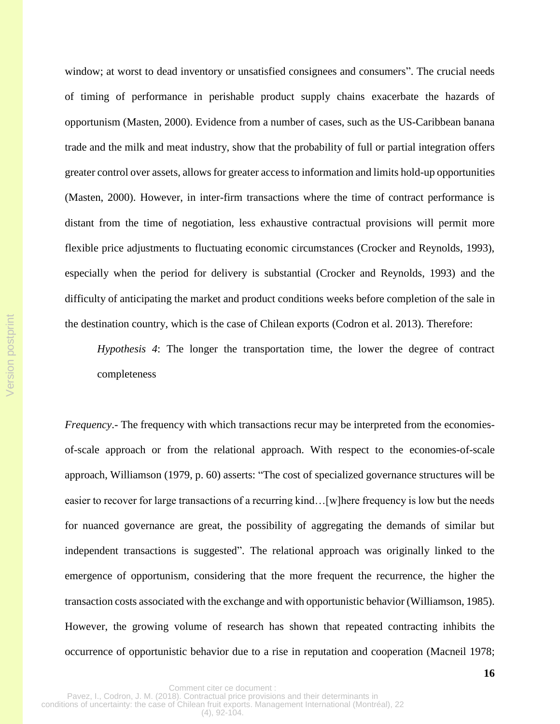window; at worst to dead inventory or unsatisfied consignees and consumers". The crucial needs of timing of performance in perishable product supply chains exacerbate the hazards of opportunism (Masten, 2000). Evidence from a number of cases, such as the US-Caribbean banana trade and the milk and meat industry, show that the probability of full or partial integration offers greater control over assets, allowsfor greater access to information and limits hold-up opportunities (Masten, 2000). However, in inter-firm transactions where the time of contract performance is distant from the time of negotiation, less exhaustive contractual provisions will permit more flexible price adjustments to fluctuating economic circumstances (Crocker and Reynolds, 1993), especially when the period for delivery is substantial (Crocker and Reynolds, 1993) and the difficulty of anticipating the market and product conditions weeks before completion of the sale in the destination country, which is the case of Chilean exports (Codron et al. 2013). Therefore:

*Hypothesis 4*: The longer the transportation time, the lower the degree of contract completeness

*Frequency*.- The frequency with which transactions recur may be interpreted from the economiesof-scale approach or from the relational approach. With respect to the economies-of-scale approach, Williamson (1979, p. 60) asserts: "The cost of specialized governance structures will be easier to recover for large transactions of a recurring kind…[w]here frequency is low but the needs for nuanced governance are great, the possibility of aggregating the demands of similar but independent transactions is suggested". The relational approach was originally linked to the emergence of opportunism, considering that the more frequent the recurrence, the higher the transaction costs associated with the exchange and with opportunistic behavior (Williamson, 1985). However, the growing volume of research has shown that repeated contracting inhibits the occurrence of opportunistic behavior due to a rise in reputation and cooperation (Macneil 1978;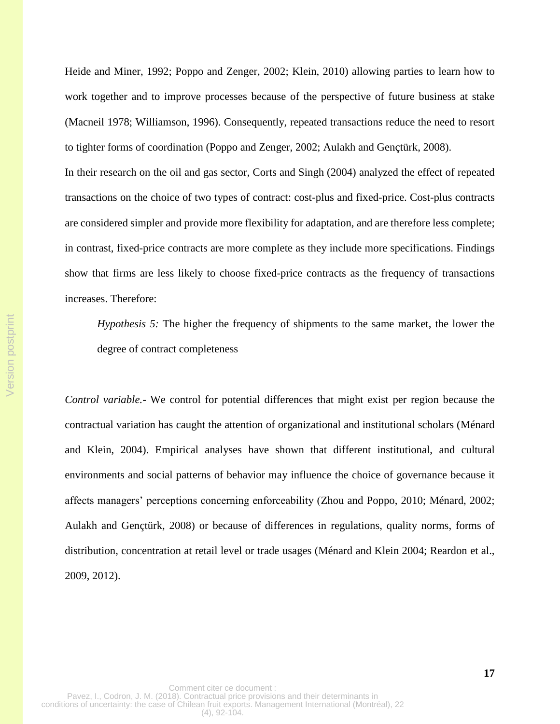Heide and Miner, 1992; Poppo and Zenger, 2002; Klein, 2010) allowing parties to learn how to work together and to improve processes because of the perspective of future business at stake (Macneil 1978; Williamson, 1996). Consequently, repeated transactions reduce the need to resort to tighter forms of coordination (Poppo and Zenger, 2002; Aulakh and Gençtürk, 2008). In their research on the oil and gas sector, Corts and Singh (2004) analyzed the effect of repeated transactions on the choice of two types of contract: cost-plus and fixed-price. Cost-plus contracts are considered simpler and provide more flexibility for adaptation, and are therefore less complete; in contrast, fixed-price contracts are more complete as they include more specifications. Findings show that firms are less likely to choose fixed-price contracts as the frequency of transactions increases. Therefore:

*Hypothesis 5:* The higher the frequency of shipments to the same market, the lower the degree of contract completeness

*Control variable.-* We control for potential differences that might exist per region because the contractual variation has caught the attention of organizational and institutional scholars (Ménard and Klein, 2004). Empirical analyses have shown that different institutional, and cultural environments and social patterns of behavior may influence the choice of governance because it affects managers' perceptions concerning enforceability (Zhou and Poppo, 2010; Ménard, 2002; Aulakh and Gençtürk, 2008) or because of differences in regulations, quality norms, forms of distribution, concentration at retail level or trade usages (Ménard and Klein 2004; Reardon et al., 2009, 2012).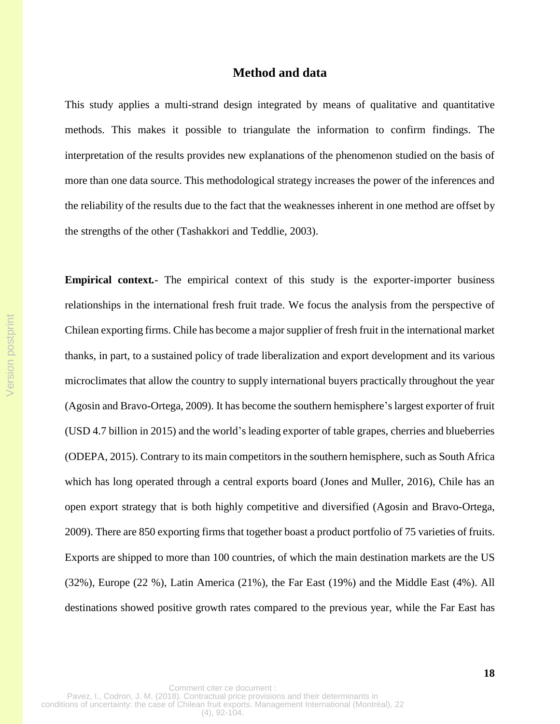# **Method and data**

This study applies a multi-strand design integrated by means of qualitative and quantitative methods. This makes it possible to triangulate the information to confirm findings. The interpretation of the results provides new explanations of the phenomenon studied on the basis of more than one data source. This methodological strategy increases the power of the inferences and the reliability of the results due to the fact that the weaknesses inherent in one method are offset by the strengths of the other (Tashakkori and Teddlie, 2003).

**Empirical context***.-* The empirical context of this study is the exporter-importer business relationships in the international fresh fruit trade. We focus the analysis from the perspective of Chilean exporting firms. Chile has become a major supplier of fresh fruit in the international market thanks, in part, to a sustained policy of trade liberalization and export development and its various microclimates that allow the country to supply international buyers practically throughout the year (Agosin and Bravo-Ortega, 2009). It has become the southern hemisphere's largest exporter of fruit (USD 4.7 billion in 2015) and the world's leading exporter of table grapes, cherries and blueberries (ODEPA, 2015). Contrary to its main competitors in the southern hemisphere, such as South Africa which has long operated through a central exports board (Jones and Muller, 2016), Chile has an open export strategy that is both highly competitive and diversified (Agosin and Bravo-Ortega, 2009). There are 850 exporting firms that together boast a product portfolio of 75 varieties of fruits. Exports are shipped to more than 100 countries, of which the main destination markets are the US (32%), Europe (22 %), Latin America (21%), the Far East (19%) and the Middle East (4%). All destinations showed positive growth rates compared to the previous year, while the Far East has

Version postprint

Version postprint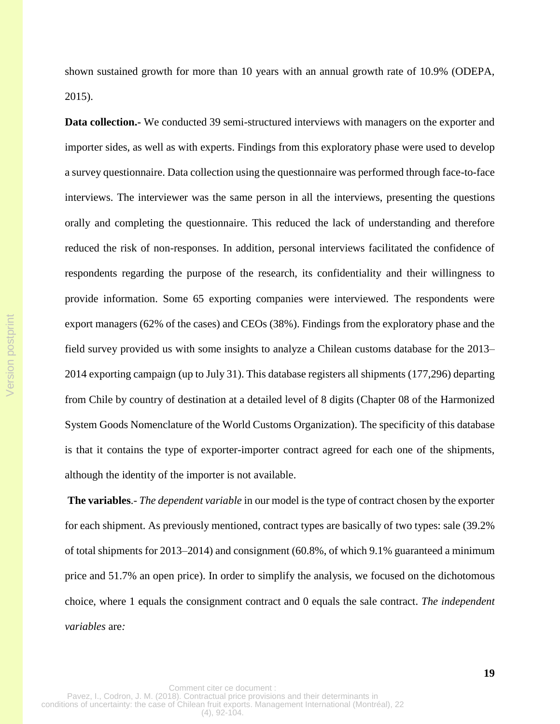shown sustained growth for more than 10 years with an annual growth rate of 10.9% (ODEPA, 2015).

**Data collection.** We conducted 39 semi-structured interviews with managers on the exporter and importer sides, as well as with experts. Findings from this exploratory phase were used to develop a survey questionnaire. Data collection using the questionnaire was performed through face-to-face interviews. The interviewer was the same person in all the interviews, presenting the questions orally and completing the questionnaire. This reduced the lack of understanding and therefore reduced the risk of non-responses. In addition, personal interviews facilitated the confidence of respondents regarding the purpose of the research, its confidentiality and their willingness to provide information. Some 65 exporting companies were interviewed. The respondents were export managers (62% of the cases) and CEOs (38%). Findings from the exploratory phase and the field survey provided us with some insights to analyze a Chilean customs database for the 2013– 2014 exporting campaign (up to July 31). This database registers all shipments (177,296) departing from Chile by country of destination at a detailed level of 8 digits (Chapter 08 of the Harmonized System Goods Nomenclature of the World Customs Organization). The specificity of this database is that it contains the type of exporter-importer contract agreed for each one of the shipments, although the identity of the importer is not available.

Version postprint

Version postprint

**The variables**.- *The dependent variable* in our model is the type of contract chosen by the exporter for each shipment. As previously mentioned, contract types are basically of two types: sale (39.2% of total shipments for 2013–2014) and consignment (60.8%, of which 9.1% guaranteed a minimum price and 51.7% an open price). In order to simplify the analysis, we focused on the dichotomous choice, where 1 equals the consignment contract and 0 equals the sale contract. *The independent variables* are*:*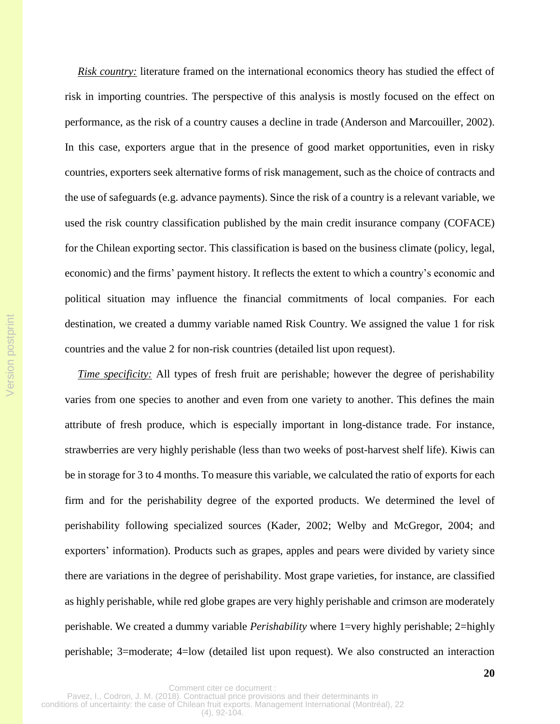*Risk country:* literature framed on the international economics theory has studied the effect of risk in importing countries. The perspective of this analysis is mostly focused on the effect on performance, as the risk of a country causes a decline in trade (Anderson and Marcouiller, 2002). In this case, exporters argue that in the presence of good market opportunities, even in risky countries, exporters seek alternative forms of risk management, such as the choice of contracts and the use of safeguards (e.g. advance payments). Since the risk of a country is a relevant variable, we used the risk country classification published by the main credit insurance company (COFACE) for the Chilean exporting sector. This classification is based on the business climate (policy, legal, economic) and the firms' payment history. It reflects the extent to which a country's economic and political situation may influence the financial commitments of local companies. For each destination, we created a dummy variable named Risk Country. We assigned the value 1 for risk countries and the value 2 for non-risk countries (detailed list upon request).

*Time specificity:* All types of fresh fruit are perishable; however the degree of perishability varies from one species to another and even from one variety to another. This defines the main attribute of fresh produce, which is especially important in long-distance trade. For instance, strawberries are very highly perishable (less than two weeks of post-harvest shelf life). Kiwis can be in storage for 3 to 4 months. To measure this variable, we calculated the ratio of exports for each firm and for the perishability degree of the exported products. We determined the level of perishability following specialized sources (Kader, 2002; Welby and McGregor, 2004; and exporters' information). Products such as grapes, apples and pears were divided by variety since there are variations in the degree of perishability. Most grape varieties, for instance, are classified as highly perishable, while red globe grapes are very highly perishable and crimson are moderately perishable. We created a dummy variable *Perishability* where 1=very highly perishable; 2=highly perishable; 3=moderate; 4=low (detailed list upon request). We also constructed an interaction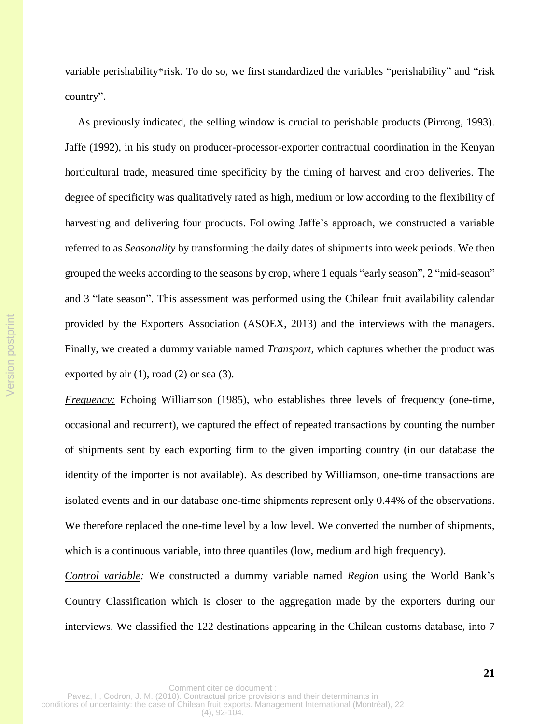variable perishability\*risk. To do so, we first standardized the variables "perishability" and "risk country".

As previously indicated, the selling window is crucial to perishable products (Pirrong, 1993). Jaffe (1992), in his study on producer-processor-exporter contractual coordination in the Kenyan horticultural trade, measured time specificity by the timing of harvest and crop deliveries. The degree of specificity was qualitatively rated as high, medium or low according to the flexibility of harvesting and delivering four products. Following Jaffe's approach, we constructed a variable referred to as *Seasonality* by transforming the daily dates of shipments into week periods. We then grouped the weeks according to the seasons by crop, where 1 equals "early season", 2 "mid-season" and 3 "late season". This assessment was performed using the Chilean fruit availability calendar provided by the Exporters Association (ASOEX, 2013) and the interviews with the managers. Finally, we created a dummy variable named *Transport,* which captures whether the product was exported by air  $(1)$ , road  $(2)$  or sea  $(3)$ .

*Frequency:* Echoing Williamson (1985), who establishes three levels of frequency (one-time, occasional and recurrent), we captured the effect of repeated transactions by counting the number of shipments sent by each exporting firm to the given importing country (in our database the identity of the importer is not available). As described by Williamson, one-time transactions are isolated events and in our database one-time shipments represent only 0.44% of the observations. We therefore replaced the one-time level by a low level. We converted the number of shipments, which is a continuous variable, into three quantiles (low, medium and high frequency).

*Control variable:* We constructed a dummy variable named *Region* using the World Bank's Country Classification which is closer to the aggregation made by the exporters during our interviews. We classified the 122 destinations appearing in the Chilean customs database, into 7

Version postprint

Version postprint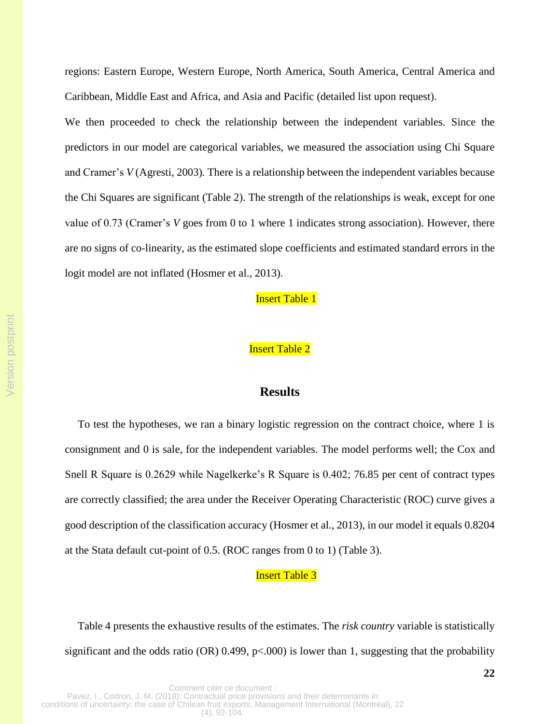regions: Eastern Europe, Western Europe, North America, South America, Central America and Caribbean, Middle East and Africa, and Asia and Pacific (detailed list upon request).

We then proceeded to check the relationship between the independent variables. Since the predictors in our model are categorical variables, we measured the association using Chi Square and Cramer's *V* (Agresti, 2003)*.* There is a relationship between the independent variables because the Chi Squares are significant (Table 2). The strength of the relationships is weak, except for one value of 0.73 (Cramer's *V* goes from 0 to 1 where 1 indicates strong association). However, there are no signs of co-linearity, as the estimated slope coefficients and estimated standard errors in the logit model are not inflated (Hosmer et al., 2013).

**Insert Table 1** 

## Insert Table 2

# **Results**

To test the hypotheses, we ran a binary logistic regression on the contract choice, where 1 is consignment and 0 is sale, for the independent variables. The model performs well; the Cox and Snell R Square is 0.2629 while Nagelkerke's R Square is 0.402; 76.85 per cent of contract types are correctly classified; the area under the Receiver Operating Characteristic (ROC) curve gives a good description of the classification accuracy (Hosmer et al., 2013), in our model it equals 0.8204 at the Stata default cut-point of 0.5. (ROC ranges from 0 to 1) (Table 3).

## **Insert Table 3**

Table 4 presents the exhaustive results of the estimates. The *risk country* variable is statistically significant and the odds ratio (OR) 0.499,  $p<.000$ ) is lower than 1, suggesting that the probability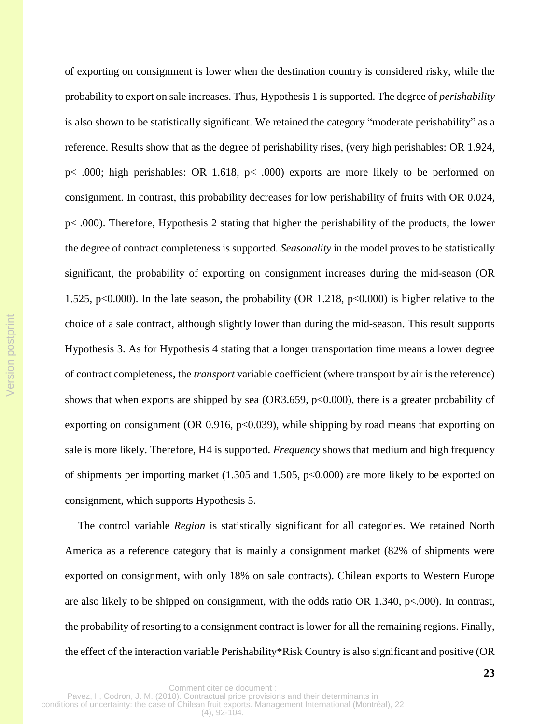of exporting on consignment is lower when the destination country is considered risky, while the probability to export on sale increases. Thus, Hypothesis 1 is supported. The degree of *perishability* is also shown to be statistically significant. We retained the category "moderate perishability" as a reference. Results show that as the degree of perishability rises, (very high perishables: OR 1.924, p< .000; high perishables: OR 1.618, p< .000) exports are more likely to be performed on consignment. In contrast, this probability decreases for low perishability of fruits with OR 0.024, p< .000). Therefore, Hypothesis 2 stating that higher the perishability of the products, the lower the degree of contract completeness is supported. *Seasonality* in the model proves to be statistically significant, the probability of exporting on consignment increases during the mid-season (OR 1.525, p<0.000). In the late season, the probability (OR 1.218, p<0.000) is higher relative to the choice of a sale contract, although slightly lower than during the mid-season. This result supports Hypothesis 3. As for Hypothesis 4 stating that a longer transportation time means a lower degree of contract completeness, the *transport* variable coefficient (where transport by air is the reference) shows that when exports are shipped by sea (OR3.659,  $p<0.000$ ), there is a greater probability of exporting on consignment (OR  $0.916$ , p<0.039), while shipping by road means that exporting on sale is more likely. Therefore, H4 is supported. *Frequency* shows that medium and high frequency of shipments per importing market (1.305 and 1.505, p<0.000) are more likely to be exported on consignment, which supports Hypothesis 5.

The control variable *Region* is statistically significant for all categories. We retained North America as a reference category that is mainly a consignment market (82% of shipments were exported on consignment, with only 18% on sale contracts). Chilean exports to Western Europe are also likely to be shipped on consignment, with the odds ratio OR 1.340, p<.000). In contrast, the probability of resorting to a consignment contract is lower for all the remaining regions. Finally, the effect of the interaction variable Perishability\*Risk Country is also significant and positive (OR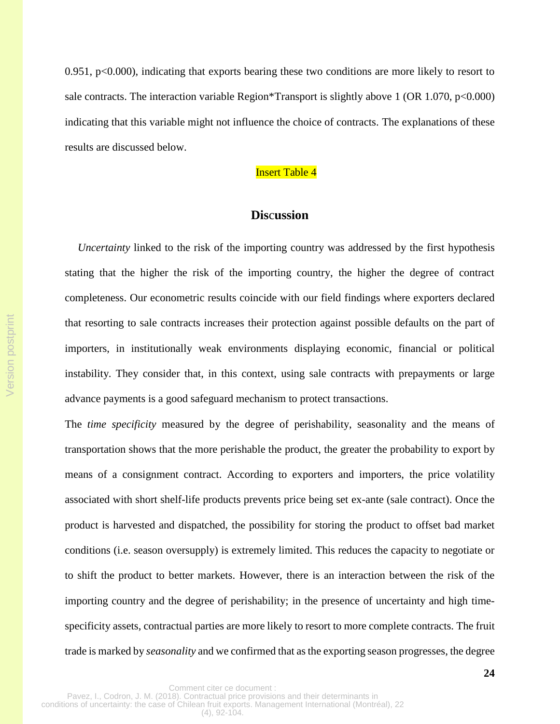0.951, p<0.000), indicating that exports bearing these two conditions are more likely to resort to sale contracts. The interaction variable Region\*Transport is slightly above 1 (OR 1.070, p<0.000) indicating that this variable might not influence the choice of contracts. The explanations of these results are discussed below.

# **Insert Table 4**

# **Dis**c**ussion**

*Uncertainty* linked to the risk of the importing country was addressed by the first hypothesis stating that the higher the risk of the importing country, the higher the degree of contract completeness. Our econometric results coincide with our field findings where exporters declared that resorting to sale contracts increases their protection against possible defaults on the part of importers, in institutionally weak environments displaying economic, financial or political instability. They consider that, in this context, using sale contracts with prepayments or large advance payments is a good safeguard mechanism to protect transactions.

The *time specificity* measured by the degree of perishability, seasonality and the means of transportation shows that the more perishable the product, the greater the probability to export by means of a consignment contract. According to exporters and importers, the price volatility associated with short shelf-life products prevents price being set ex-ante (sale contract). Once the product is harvested and dispatched, the possibility for storing the product to offset bad market conditions (i.e. season oversupply) is extremely limited. This reduces the capacity to negotiate or to shift the product to better markets. However, there is an interaction between the risk of the importing country and the degree of perishability; in the presence of uncertainty and high timespecificity assets, contractual parties are more likely to resort to more complete contracts. The fruit trade is marked by *seasonality* and we confirmed that asthe exporting season progresses, the degree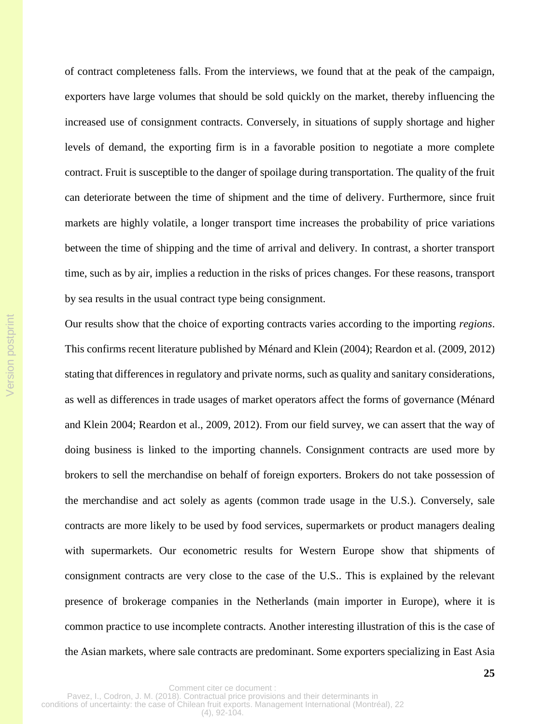of contract completeness falls. From the interviews, we found that at the peak of the campaign, exporters have large volumes that should be sold quickly on the market, thereby influencing the increased use of consignment contracts. Conversely, in situations of supply shortage and higher levels of demand, the exporting firm is in a favorable position to negotiate a more complete contract. Fruit is susceptible to the danger of spoilage during transportation. The quality of the fruit can deteriorate between the time of shipment and the time of delivery. Furthermore, since fruit markets are highly volatile, a longer transport time increases the probability of price variations between the time of shipping and the time of arrival and delivery. In contrast, a shorter transport time, such as by air, implies a reduction in the risks of prices changes. For these reasons, transport by sea results in the usual contract type being consignment.

Our results show that the choice of exporting contracts varies according to the importing *regions*. This confirms recent literature published by Ménard and Klein (2004); Reardon et al. (2009, 2012) stating that differences in regulatory and private norms, such as quality and sanitary considerations, as well as differences in trade usages of market operators affect the forms of governance (Ménard and Klein 2004; Reardon et al., 2009, 2012). From our field survey, we can assert that the way of doing business is linked to the importing channels. Consignment contracts are used more by brokers to sell the merchandise on behalf of foreign exporters. Brokers do not take possession of the merchandise and act solely as agents (common trade usage in the U.S.). Conversely, sale contracts are more likely to be used by food services, supermarkets or product managers dealing with supermarkets. Our econometric results for Western Europe show that shipments of consignment contracts are very close to the case of the U.S.. This is explained by the relevant presence of brokerage companies in the Netherlands (main importer in Europe), where it is common practice to use incomplete contracts. Another interesting illustration of this is the case of the Asian markets, where sale contracts are predominant. Some exporters specializing in East Asia

Version postprint

Version postprint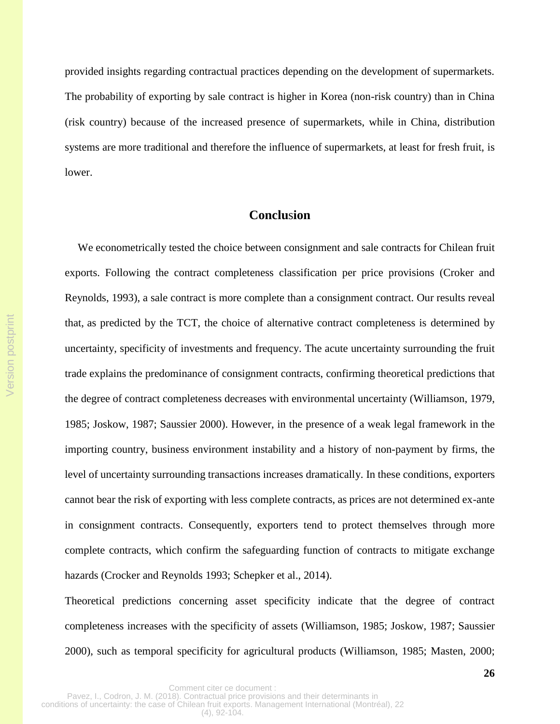provided insights regarding contractual practices depending on the development of supermarkets. The probability of exporting by sale contract is higher in Korea (non-risk country) than in China (risk country) because of the increased presence of supermarkets, while in China, distribution systems are more traditional and therefore the influence of supermarkets, at least for fresh fruit, is lower.

# **Conclu**s**ion**

We econometrically tested the choice between consignment and sale contracts for Chilean fruit exports. Following the contract completeness classification per price provisions (Croker and Reynolds, 1993), a sale contract is more complete than a consignment contract. Our results reveal that, as predicted by the TCT, the choice of alternative contract completeness is determined by uncertainty, specificity of investments and frequency. The acute uncertainty surrounding the fruit trade explains the predominance of consignment contracts, confirming theoretical predictions that the degree of contract completeness decreases with environmental uncertainty (Williamson, 1979, 1985; Joskow, 1987; Saussier 2000). However, in the presence of a weak legal framework in the importing country, business environment instability and a history of non-payment by firms, the level of uncertainty surrounding transactions increases dramatically. In these conditions, exporters cannot bear the risk of exporting with less complete contracts, as prices are not determined ex-ante in consignment contracts. Consequently, exporters tend to protect themselves through more complete contracts, which confirm the safeguarding function of contracts to mitigate exchange hazards (Crocker and Reynolds 1993; Schepker et al., 2014).

Theoretical predictions concerning asset specificity indicate that the degree of contract completeness increases with the specificity of assets (Williamson, 1985; Joskow, 1987; Saussier 2000), such as temporal specificity for agricultural products (Williamson, 1985; Masten, 2000;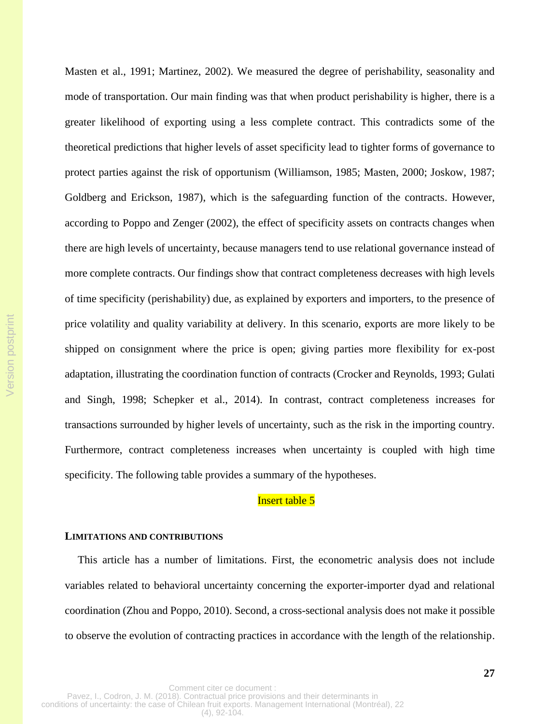Masten et al., 1991; Martinez, 2002). We measured the degree of perishability, seasonality and mode of transportation. Our main finding was that when product perishability is higher, there is a greater likelihood of exporting using a less complete contract. This contradicts some of the theoretical predictions that higher levels of asset specificity lead to tighter forms of governance to protect parties against the risk of opportunism (Williamson, 1985; Masten, 2000; Joskow, 1987; Goldberg and Erickson, 1987), which is the safeguarding function of the contracts. However, according to Poppo and Zenger (2002), the effect of specificity assets on contracts changes when there are high levels of uncertainty, because managers tend to use relational governance instead of more complete contracts. Our findings show that contract completeness decreases with high levels of time specificity (perishability) due, as explained by exporters and importers, to the presence of price volatility and quality variability at delivery. In this scenario, exports are more likely to be shipped on consignment where the price is open; giving parties more flexibility for ex-post adaptation, illustrating the coordination function of contracts (Crocker and Reynolds, 1993; Gulati and Singh, 1998; Schepker et al., 2014). In contrast, contract completeness increases for transactions surrounded by higher levels of uncertainty, such as the risk in the importing country. Furthermore, contract completeness increases when uncertainty is coupled with high time specificity. The following table provides a summary of the hypotheses.

## Insert table 5

#### **LIMITATIONS AND CONTRIBUTIONS**

This article has a number of limitations. First, the econometric analysis does not include variables related to behavioral uncertainty concerning the exporter-importer dyad and relational coordination (Zhou and Poppo, 2010). Second, a cross-sectional analysis does not make it possible to observe the evolution of contracting practices in accordance with the length of the relationship.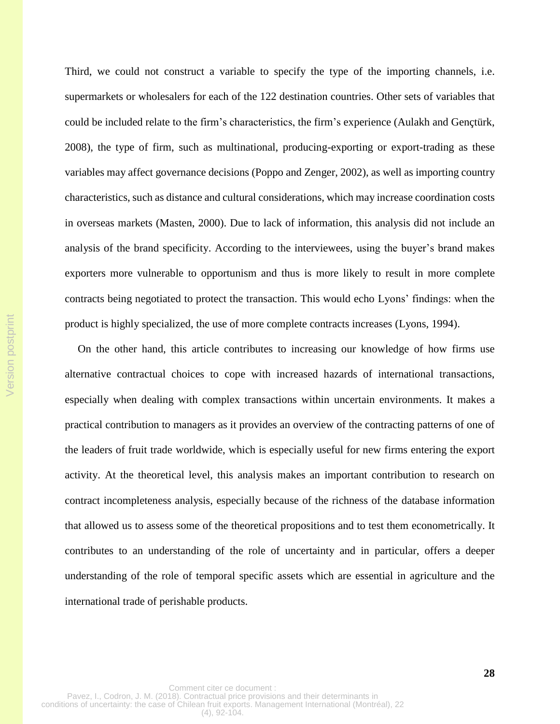Third, we could not construct a variable to specify the type of the importing channels, i.e. supermarkets or wholesalers for each of the 122 destination countries. Other sets of variables that could be included relate to the firm's characteristics, the firm's experience (Aulakh and Gençtürk, 2008), the type of firm, such as multinational, producing-exporting or export-trading as these variables may affect governance decisions (Poppo and Zenger, 2002), as well as importing country characteristics, such as distance and cultural considerations, which may increase coordination costs in overseas markets (Masten, 2000). Due to lack of information, this analysis did not include an analysis of the brand specificity. According to the interviewees, using the buyer's brand makes exporters more vulnerable to opportunism and thus is more likely to result in more complete contracts being negotiated to protect the transaction. This would echo Lyons' findings: when the product is highly specialized, the use of more complete contracts increases (Lyons, 1994).

On the other hand, this article contributes to increasing our knowledge of how firms use alternative contractual choices to cope with increased hazards of international transactions, especially when dealing with complex transactions within uncertain environments. It makes a practical contribution to managers as it provides an overview of the contracting patterns of one of the leaders of fruit trade worldwide, which is especially useful for new firms entering the export activity. At the theoretical level, this analysis makes an important contribution to research on contract incompleteness analysis, especially because of the richness of the database information that allowed us to assess some of the theoretical propositions and to test them econometrically. It contributes to an understanding of the role of uncertainty and in particular, offers a deeper understanding of the role of temporal specific assets which are essential in agriculture and the international trade of perishable products.

Version postprint

Version postprint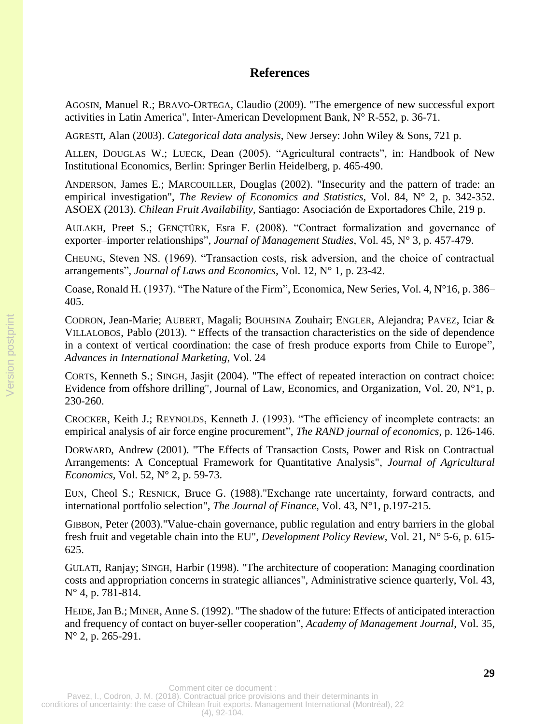# **References**

AGOSIN, Manuel R.; BRAVO-ORTEGA, Claudio (2009). "The emergence of new successful export activities in Latin America", Inter-American Development Bank, N° R-552, p. 36-71.

AGRESTI, Alan (2003). *Categorical data analysis*, New Jersey: John Wiley & Sons, 721 p.

ALLEN, DOUGLAS W.; LUECK, Dean (2005). "Agricultural contracts", in: Handbook of New Institutional Economics, Berlin: Springer Berlin Heidelberg, p. 465-490.

ANDERSON, James E.; MARCOUILLER, Douglas (2002). "Insecurity and the pattern of trade: an empirical investigation", *The Review of Economics and Statistics,* Vol. 84, N° 2, p. 342-352. ASOEX (2013). *Chilean Fruit Availability*, Santiago: Asociación de Exportadores Chile, 219 p.

AULAKH, Preet S.; GENÇTÜRK, Esra F. (2008). "Contract formalization and governance of exporter–importer relationships", *Journal of Management Studies*, Vol. 45, N° 3, p. 457-479.

CHEUNG, Steven NS. (1969). "Transaction costs, risk adversion, and the choice of contractual arrangements", *Journal of Laws and Economics,* Vol. 12, N° 1, p. 23-42.

Coase, Ronald H. (1937). "The Nature of the Firm", Economica, New Series, Vol. 4, N°16, p. 386– 405.

CODRON, Jean-Marie; AUBERT, Magali; BOUHSINA Zouhair; ENGLER, Alejandra; PAVEZ, Iciar & VILLALOBOS, Pablo (2013). " Effects of the transaction characteristics on the side of dependence in a context of vertical coordination: the case of fresh produce exports from Chile to Europe", *Advances in International Marketing*, Vol. 24

CORTS, Kenneth S.; SINGH, Jasjit (2004). "The effect of repeated interaction on contract choice: Evidence from offshore drilling", Journal of Law, Economics, and Organization, Vol. 20, N°1, p. 230-260.

CROCKER, Keith J.; REYNOLDS, Kenneth J. (1993). "The efficiency of incomplete contracts: an empirical analysis of air force engine procurement", *The RAND journal of economics*, p. 126-146.

DORWARD, Andrew (2001). "The Effects of Transaction Costs, Power and Risk on Contractual Arrangements: A Conceptual Framework for Quantitative Analysis", *Journal of Agricultural Economics,* Vol. 52, N° 2, p. 59-73.

EUN, Cheol S.; RESNICK, Bruce G. (1988)."Exchange rate uncertainty, forward contracts, and international portfolio selection", *The Journal of Finance,* Vol. 43, N°1, p.197-215.

GIBBON, Peter (2003)."Value‐chain governance, public regulation and entry barriers in the global fresh fruit and vegetable chain into the EU", *Development Policy Review*, Vol. 21, N° 5‐6, p. 615- 625.

GULATI, Ranjay; SINGH, Harbir (1998). "The architecture of cooperation: Managing coordination costs and appropriation concerns in strategic alliances", Administrative science quarterly, Vol. 43, N° 4, p. 781-814.

HEIDE, Jan B.; MINER, Anne S. (1992). "The shadow of the future: Effects of anticipated interaction and frequency of contact on buyer-seller cooperation", *Academy of Management Journal*, Vol. 35, N° 2, p. 265-291.

Version postprint

Version postprint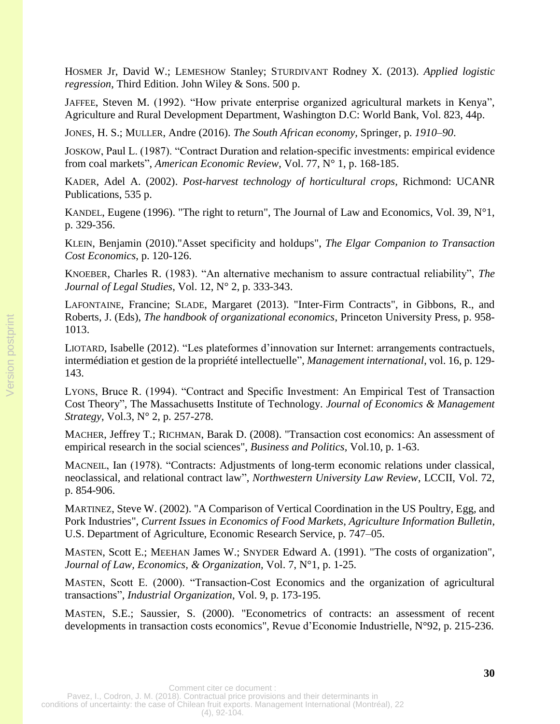HOSMER Jr, David W.; LEMESHOW Stanley; STURDIVANT Rodney X. (2013). *Applied logistic regression*, Third Edition. John Wiley & Sons. 500 p.

JAFFEE, Steven M. (1992). "How private enterprise organized agricultural markets in Kenya", Agriculture and Rural Development Department, Washington D.C: World Bank, Vol. 823, 44p.

JONES, H. S.; MULLER, Andre (2016). *The South African economy,* Springer, p. *1910–90*.

JOSKOW, Paul L. (1987). "Contract Duration and relation-specific investments: empirical evidence from coal markets", *American Economic Review*, Vol. 77, N° 1, p. 168-185.

KADER, Adel A. (2002). *Post-harvest technology of horticultural crops,* Richmond: UCANR Publications, 535 p.

KANDEL, Eugene (1996). "The right to return", The Journal of Law and Economics, Vol. 39, N°1, p. 329-356.

KLEIN, Benjamin (2010)."Asset specificity and holdups", *The Elgar Companion to Transaction Cost Economics*, p. 120-126.

KNOEBER, Charles R. (1983). "An alternative mechanism to assure contractual reliability", *The Journal of Legal Studies*, Vol. 12, N° 2, p. 333-343.

LAFONTAINE, Francine; SLADE, Margaret (2013). "Inter-Firm Contracts", in Gibbons, R., and Roberts, J. (Eds), *The handbook of organizational economics*, Princeton University Press, p. 958- 1013.

LIOTARD, Isabelle (2012). "Les plateformes d'innovation sur Internet: arrangements contractuels, intermédiation et gestion de la propriété intellectuelle", *Management international*, vol. 16, p. 129- 143.

LYONS, Bruce R. (1994). "Contract and Specific Investment: An Empirical Test of Transaction Cost Theory", The Massachusetts Institute of Technology. *Journal of Economics & Management Strategy*, Vol.3, N° 2, p. 257-278.

MACHER, Jeffrey T.; RICHMAN, Barak D. (2008). "Transaction cost economics: An assessment of empirical research in the social sciences", *Business and Politics*, Vol.10, p. 1-63.

MACNEIL, Ian (1978). "Contracts: Adjustments of long-term economic relations under classical, neoclassical, and relational contract law", *Northwestern University Law Review*, LCCII, Vol. 72, p. 854-906.

MARTINEZ, Steve W. (2002). "A Comparison of Vertical Coordination in the US Poultry, Egg, and Pork Industries", *Current Issues in Economics of Food Markets, Agriculture Information Bulletin*, U.S. Department of Agriculture, Economic Research Service, p. 747–05.

MASTEN, Scott E.; MEEHAN James W.; SNYDER Edward A. (1991). "The costs of organization", *Journal of Law, Economics, & Organization,* Vol. 7, N°1, p. 1-25.

MASTEN, Scott E. (2000). "Transaction-Cost Economics and the organization of agricultural transactions", *Industrial Organization*, Vol. 9, p. 173-195.

MASTEN, S.E.; Saussier, S. (2000). "Econometrics of contracts: an assessment of recent developments in transaction costs economics", Revue d'Economie Industrielle, N°92, p. 215-236.

Comment citer ce document :

Pavez, I., Codron, J. M. (2018). Contractual price provisions and their determinants in conditions of uncertainty: the case of Chilean fruit exports. Management International (Montréal), 22

(4), 92-104.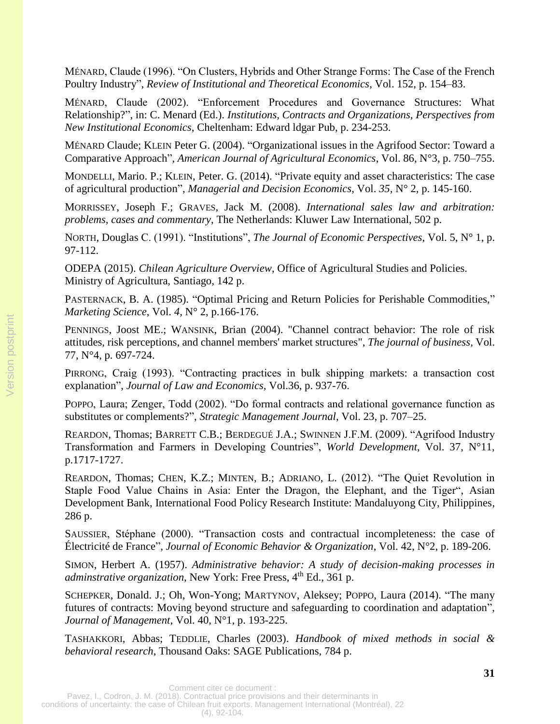MÉNARD, Claude (1996). "On Clusters, Hybrids and Other Strange Forms: The Case of the French Poultry Industry", *Review of Institutional and Theoretical Economics*, Vol. 152, p. 154–83.

MÉNARD, Claude (2002). "Enforcement Procedures and Governance Structures: What Relationship?", in: C. Menard (Ed.). *Institutions, Contracts and Organizations, Perspectives from New Institutional Economics*, Cheltenham: Edward ldgar Pub, p. 234-253.

MÉNARD Claude; KLEIN Peter G. (2004). "Organizational issues in the Agrifood Sector: Toward a Comparative Approach", *American Journal of Agricultural Economics*, Vol. 86, N°3, p. 750–755.

MONDELLI, Mario. P.; KLEIN, Peter. G. (2014). "Private equity and asset characteristics: The case of agricultural production", *Managerial and Decision Economics*, Vol. *35,* N° 2, p. 145-160.

MORRISSEY, Joseph F.; GRAVES, Jack M. (2008). *International sales law and arbitration: problems, cases and commentary*, The Netherlands: Kluwer Law International, 502 p.

NORTH, Douglas C. (1991). "Institutions", *The Journal of Economic Perspectives*, Vol. 5, N° 1, p. 97-112.

ODEPA (2015). *Chilean Agriculture Overview*, Office of Agricultural Studies and Policies. Ministry of Agricultura, Santiago, 142 p.

PASTERNACK, B. A. (1985). "Optimal Pricing and Return Policies for Perishable Commodities," *Marketing Science*, Vol. *4,* N° 2, p.166-176.

PENNINGS, Joost ME.; WANSINK, Brian (2004). "Channel contract behavior: The role of risk attitudes, risk perceptions, and channel members' market structures", *The journal of business,* Vol. 77, N°4, p. 697-724.

PIRRONG, Craig (1993). "Contracting practices in bulk shipping markets: a transaction cost explanation", *Journal of Law and Economics,* Vol.36, p. 937-76.

POPPO, Laura; Zenger, Todd (2002). "Do formal contracts and relational governance function as substitutes or complements?", *Strategic Management Journal*, Vol. 23, p. 707–25.

REARDON, Thomas; BARRETT C.B.; BERDEGUÉ J.A.; SWINNEN J.F.M. (2009). "Agrifood Industry Transformation and Farmers in Developing Countries", *World Development*, Vol. 37, N°11, p.1717-1727.

REARDON, Thomas; CHEN, K.Z.; MINTEN, B.; ADRIANO, L. (2012). "The Quiet Revolution in Staple Food Value Chains in Asia: Enter the Dragon, the Elephant, and the Tiger", Asian Development Bank, International Food Policy Research Institute: Mandaluyong City, Philippines, 286 p.

SAUSSIER, Stéphane (2000). "Transaction costs and contractual incompleteness: the case of Électricité de France", *Journal of Economic Behavior & Organization*, Vol. 42, N°2, p. 189-206.

SIMON, Herbert A. (1957). *Administrative behavior: A study of decision-making processes in adminstrative organization*, New York: Free Press, 4<sup>th</sup> Ed., 361 p.

SCHEPKER, Donald. J.; Oh, Won-Yong; MARTYNOV, Aleksey; POPPO, Laura (2014). "The many futures of contracts: Moving beyond structure and safeguarding to coordination and adaptation", *Journal of Management*, Vol. 40, N°1, p. 193-225.

TASHAKKORI, Abbas; TEDDLIE, Charles (2003). *Handbook of mixed methods in social & behavioral research*, Thousand Oaks: SAGE Publications, 784 p.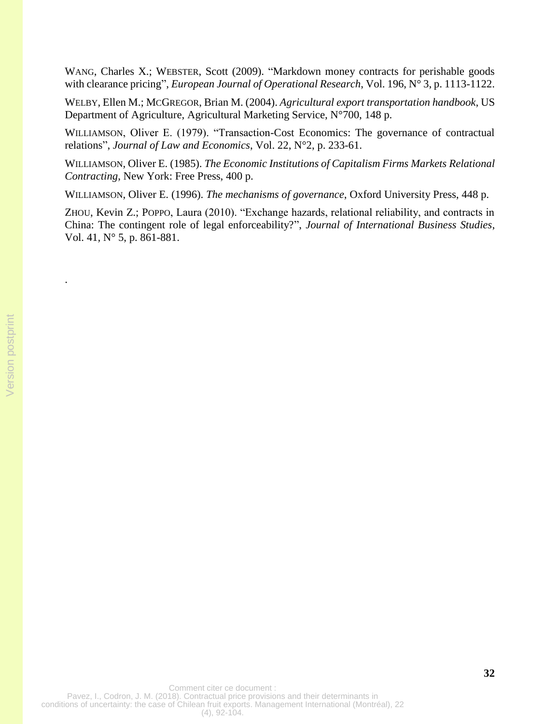WANG, Charles X.; WEBSTER, Scott (2009). "Markdown money contracts for perishable goods with clearance pricing", *European Journal of Operational Research*, Vol. 196, N° 3, p. 1113-1122.

WELBY, Ellen M.; MCGREGOR, Brian M. (2004). *Agricultural export transportation handbook*, US Department of Agriculture, Agricultural Marketing Service, N°700, 148 p.

WILLIAMSON, Oliver E. (1979). "Transaction-Cost Economics: The governance of contractual relations", *Journal of Law and Economics*, Vol. 22, N°2, p. 233-61.

WILLIAMSON, Oliver E. (1985). *The Economic Institutions of Capitalism Firms Markets Relational Contracting*, New York: Free Press, 400 p.

WILLIAMSON, Oliver E. (1996). *The mechanisms of governance*, Oxford University Press, 448 p.

ZHOU, Kevin Z.; POPPO, Laura (2010). "Exchange hazards, relational reliability, and contracts in China: The contingent role of legal enforceability?", *Journal of International Business Studies*, Vol. 41*,* N° 5, p. 861-881.

.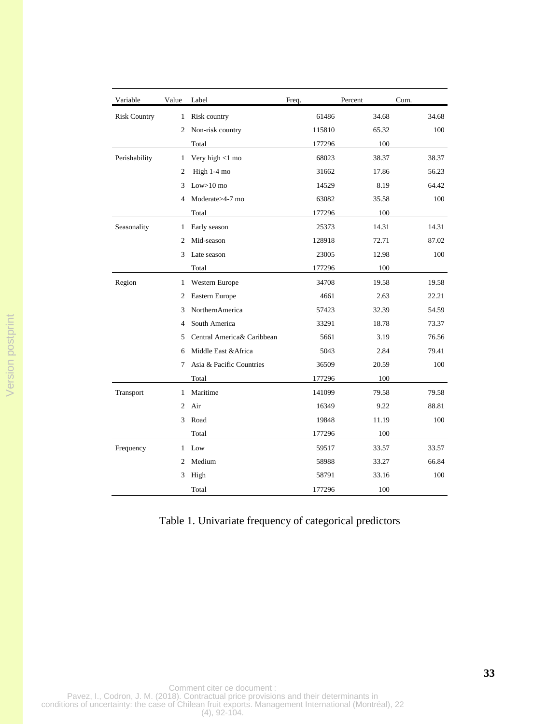| Variable            | Value          | Label                      | Freq.  | Percent | Cum.  |
|---------------------|----------------|----------------------------|--------|---------|-------|
| <b>Risk Country</b> | 1              | Risk country               | 61486  | 34.68   | 34.68 |
|                     | 2              | Non-risk country           | 115810 | 65.32   | 100   |
|                     |                | Total                      | 177296 | 100     |       |
| Perishability       | 1              | Very high $<$ 1 mo         | 68023  | 38.37   | 38.37 |
|                     | $\overline{2}$ | High 1-4 mo                | 31662  | 17.86   | 56.23 |
|                     | 3              | $Low>10$ mo                | 14529  | 8.19    | 64.42 |
|                     | $\overline{4}$ | Moderate>4-7 mo            | 63082  | 35.58   | 100   |
|                     |                | Total                      | 177296 | 100     |       |
| Seasonality         | 1              | Early season               | 25373  | 14.31   | 14.31 |
|                     | $\overline{2}$ | Mid-season                 | 128918 | 72.71   | 87.02 |
|                     | 3              | Late season                | 23005  | 12.98   | 100   |
|                     |                | Total                      | 177296 | 100     |       |
| Region              | $\mathbf{1}$   | Western Europe             | 34708  | 19.58   | 19.58 |
|                     | $\overline{2}$ | Eastern Europe             | 4661   | 2.63    | 22.21 |
|                     | 3              | NorthernAmerica            | 57423  | 32.39   | 54.59 |
|                     | $\overline{4}$ | South America              | 33291  | 18.78   | 73.37 |
|                     | 5              | Central America& Caribbean | 5661   | 3.19    | 76.56 |
|                     | 6              | Middle East & Africa       | 5043   | 2.84    | 79.41 |
|                     | 7              | Asia & Pacific Countries   | 36509  | 20.59   | 100   |
|                     |                | Total                      | 177296 | 100     |       |
| Transport           | 1              | Maritime                   | 141099 | 79.58   | 79.58 |
|                     | $\overline{c}$ | Air                        | 16349  | 9.22    | 88.81 |
|                     | 3              | Road                       | 19848  | 11.19   | 100   |
|                     |                | Total                      | 177296 | 100     |       |
| Frequency           | 1              | Low                        | 59517  | 33.57   | 33.57 |
|                     | $\overline{2}$ | Medium                     | 58988  | 33.27   | 66.84 |
|                     | 3              | High                       | 58791  | 33.16   | 100   |
|                     |                | Total                      | 177296 | 100     |       |

# Table 1. Univariate frequency of categorical predictors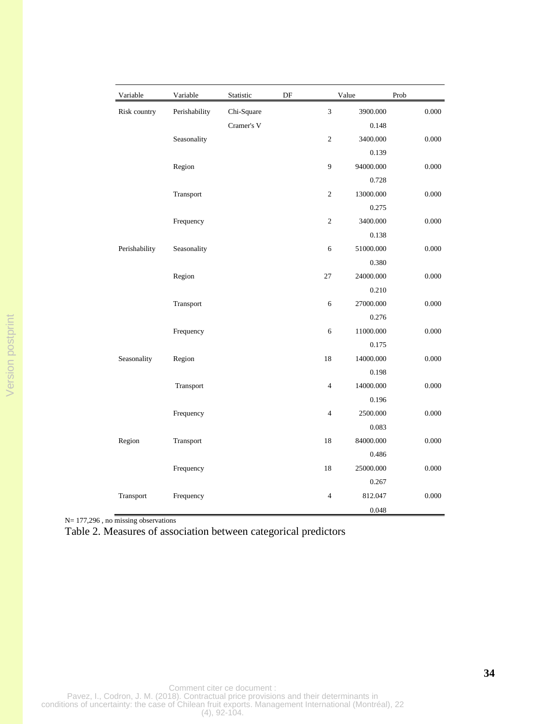| Variable      | Variable      | Statistic  | DF |                | Value     | Prob  |
|---------------|---------------|------------|----|----------------|-----------|-------|
| Risk country  | Perishability | Chi-Square |    | 3              | 3900.000  | 0.000 |
|               |               | Cramer's V |    |                | 0.148     |       |
|               | Seasonality   |            |    | $\mathfrak{2}$ | 3400.000  | 0.000 |
|               |               |            |    |                | 0.139     |       |
|               | Region        |            |    | 9              | 94000.000 | 0.000 |
|               |               |            |    |                | 0.728     |       |
|               | Transport     |            |    | $\overline{2}$ | 13000.000 | 0.000 |
|               |               |            |    |                | 0.275     |       |
|               | Frequency     |            |    | $\mathfrak{2}$ | 3400.000  | 0.000 |
|               |               |            |    |                | 0.138     |       |
| Perishability | Seasonality   |            |    | 6              | 51000.000 | 0.000 |
|               |               |            |    |                | 0.380     |       |
|               | Region        |            |    | 27             | 24000.000 | 0.000 |
|               |               |            |    |                | 0.210     |       |
|               | Transport     |            |    | $\sqrt{6}$     | 27000.000 | 0.000 |
|               |               |            |    |                | 0.276     |       |
|               | Frequency     |            |    | 6              | 11000.000 | 0.000 |
|               |               |            |    |                | 0.175     |       |
| Seasonality   | Region        |            |    | 18             | 14000.000 | 0.000 |
|               |               |            |    |                | 0.198     |       |
|               | Transport     |            |    | $\overline{4}$ | 14000.000 | 0.000 |
|               |               |            |    |                | 0.196     |       |
|               | Frequency     |            |    | $\overline{4}$ | 2500.000  | 0.000 |
|               |               |            |    |                | 0.083     |       |
| Region        | Transport     |            |    | 18             | 84000.000 | 0.000 |
|               |               |            |    |                | 0.486     |       |
|               | Frequency     |            |    | 18             | 25000.000 | 0.000 |
|               |               |            |    |                | 0.267     |       |
| Transport     | Frequency     |            |    | 4              | 812.047   | 0.000 |
|               |               |            |    |                | 0.048     |       |

Version postprint Version postprint

N= 177,296, no missing observations

Table 2. Measures of association between categorical predictors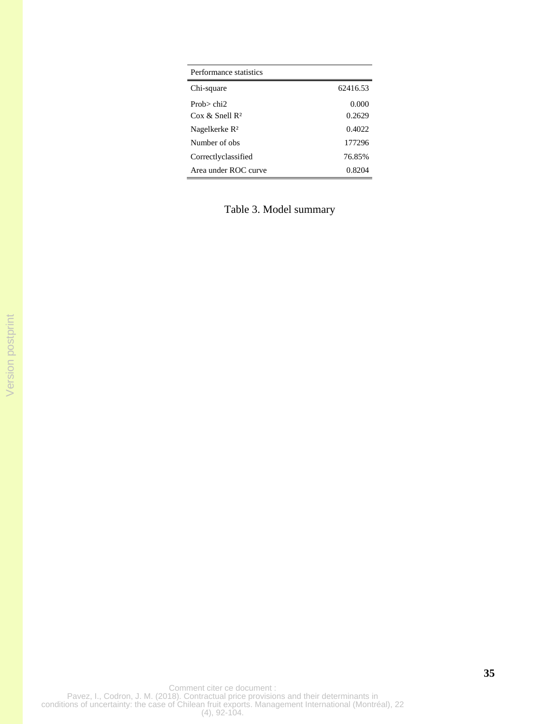| Performance statistics         |          |
|--------------------------------|----------|
| Chi-square                     | 62416.53 |
| Prob $>$ chi $>$               | 0.000    |
| $\cos \&$ Snell R <sup>2</sup> | 0.2629   |
| Nagelkerke R <sup>2</sup>      | 0.4022   |
| Number of obs                  | 177296   |
| Correctlyclassified            | 76.85%   |
| Area under ROC curve           | 0.8204   |

Table 3. Model summary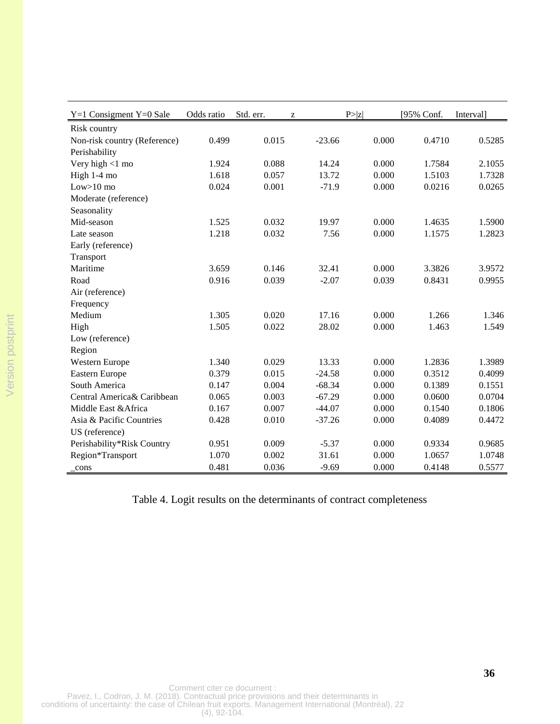| $Y=1$ Consigment $Y=0$ Sale  | Odds ratio | Std. err. | Z        | P >  z | [95% Conf. | Interval] |
|------------------------------|------------|-----------|----------|--------|------------|-----------|
| Risk country                 |            |           |          |        |            |           |
| Non-risk country (Reference) | 0.499      | 0.015     | $-23.66$ | 0.000  | 0.4710     | 0.5285    |
| Perishability                |            |           |          |        |            |           |
| Very high $<$ 1 mo           | 1.924      | 0.088     | 14.24    | 0.000  | 1.7584     | 2.1055    |
| High 1-4 mo                  | 1.618      | 0.057     | 13.72    | 0.000  | 1.5103     | 1.7328    |
| $Low>10$ mo                  | 0.024      | 0.001     | $-71.9$  | 0.000  | 0.0216     | 0.0265    |
| Moderate (reference)         |            |           |          |        |            |           |
| Seasonality                  |            |           |          |        |            |           |
| Mid-season                   | 1.525      | 0.032     | 19.97    | 0.000  | 1.4635     | 1.5900    |
| Late season                  | 1.218      | 0.032     | 7.56     | 0.000  | 1.1575     | 1.2823    |
| Early (reference)            |            |           |          |        |            |           |
| Transport                    |            |           |          |        |            |           |
| Maritime                     | 3.659      | 0.146     | 32.41    | 0.000  | 3.3826     | 3.9572    |
| Road                         | 0.916      | 0.039     | $-2.07$  | 0.039  | 0.8431     | 0.9955    |
| Air (reference)              |            |           |          |        |            |           |
| Frequency                    |            |           |          |        |            |           |
| Medium                       | 1.305      | 0.020     | 17.16    | 0.000  | 1.266      | 1.346     |
| High                         | 1.505      | 0.022     | 28.02    | 0.000  | 1.463      | 1.549     |
| Low (reference)              |            |           |          |        |            |           |
| Region                       |            |           |          |        |            |           |
| Western Europe               | 1.340      | 0.029     | 13.33    | 0.000  | 1.2836     | 1.3989    |
| <b>Eastern Europe</b>        | 0.379      | 0.015     | $-24.58$ | 0.000  | 0.3512     | 0.4099    |
| South America                | 0.147      | 0.004     | $-68.34$ | 0.000  | 0.1389     | 0.1551    |
| Central America& Caribbean   | 0.065      | 0.003     | $-67.29$ | 0.000  | 0.0600     | 0.0704    |
| Middle East & Africa         | 0.167      | 0.007     | $-44.07$ | 0.000  | 0.1540     | 0.1806    |
| Asia & Pacific Countries     | 0.428      | 0.010     | $-37.26$ | 0.000  | 0.4089     | 0.4472    |
| US (reference)               |            |           |          |        |            |           |
| Perishability*Risk Country   | 0.951      | 0.009     | $-5.37$  | 0.000  | 0.9334     | 0.9685    |
| Region*Transport             | 1.070      | 0.002     | 31.61    | 0.000  | 1.0657     | 1.0748    |
| cons                         | 0.481      | 0.036     | $-9.69$  | 0.000  | 0.4148     | 0.5577    |

Table 4. Logit results on the determinants of contract completeness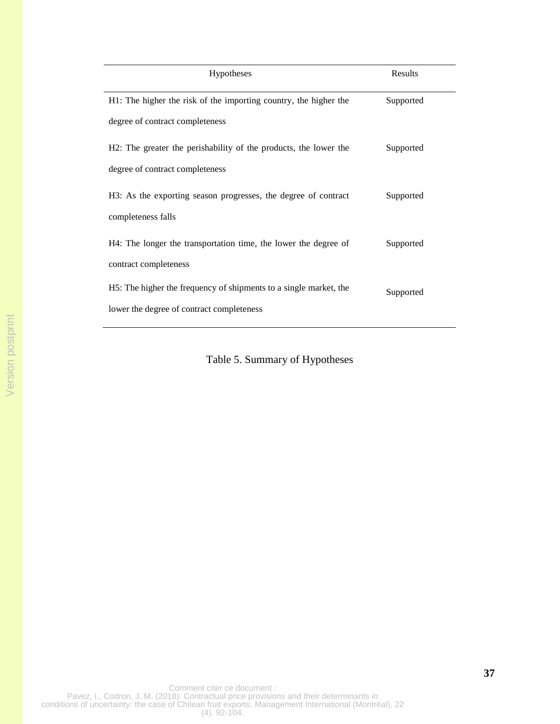| <b>Hypotheses</b>                                                 | Results   |
|-------------------------------------------------------------------|-----------|
| H1: The higher the risk of the importing country, the higher the  | Supported |
| degree of contract completeness                                   |           |
| H2: The greater the perishability of the products, the lower the  | Supported |
| degree of contract completeness                                   |           |
| H3: As the exporting season progresses, the degree of contract    | Supported |
| completeness falls                                                |           |
| H4: The longer the transportation time, the lower the degree of   | Supported |
| contract completeness                                             |           |
| H5: The higher the frequency of shipments to a single market, the | Supported |
| lower the degree of contract completeness                         |           |

Table 5. Summary of Hypotheses

Comment citer ce document : Pavez, I., Codron, J. M. (2018). Contractual price provisions and their determinants in conditions of uncertainty: the case of Chilean fruit exports. Management International (Montréal), 22 (4), 92-104.